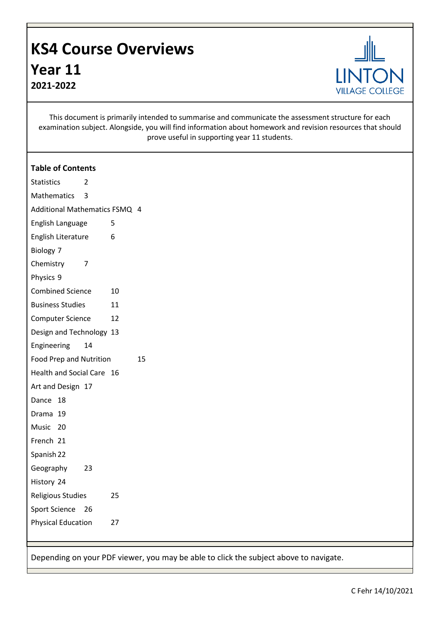## **KS4 Course Overviews Year 11 2021-2022**



This document is primarily intended to summarise and communicate the assessment structure for each examination subject. Alongside, you will find information about homework and revision resources that should prove useful in supporting year 11 students.

| <b>Table of Contents</b>        |    |
|---------------------------------|----|
| Statistics<br>2                 |    |
| Mathematics<br>3                |    |
| Additional Mathematics FSMQ 4   |    |
| English Language<br>5           |    |
| 6<br>English Literature         |    |
| Biology 7                       |    |
| Chemistry<br>7                  |    |
| Physics 9                       |    |
| <b>Combined Science</b><br>10   |    |
| <b>Business Studies</b><br>11   |    |
| <b>Computer Science</b><br>12   |    |
| Design and Technology 13        |    |
| Engineering<br>14               |    |
| <b>Food Prep and Nutrition</b>  | 15 |
| Health and Social Care 16       |    |
| Art and Design 17               |    |
| Dance<br>18                     |    |
| Drama 19                        |    |
| Music 20                        |    |
| French 21                       |    |
| Spanish 22                      |    |
| 23<br>Geography                 |    |
| History 24                      |    |
| <b>Religious Studies</b><br>25  |    |
| <b>Sport Science</b><br>26      |    |
| <b>Physical Education</b><br>27 |    |

Depending on your PDF viewer, you may be able to click the subject above to navigate.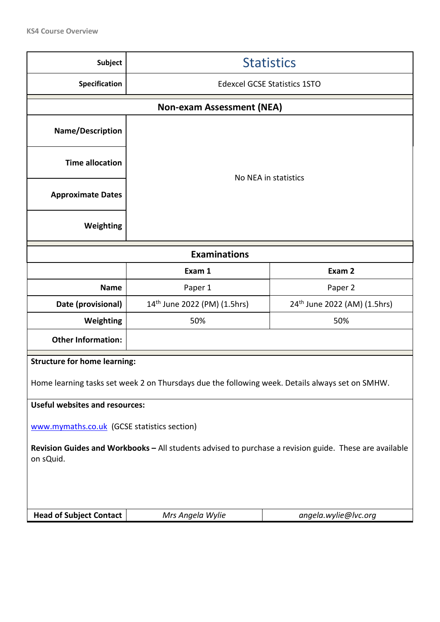| <b>Subject</b>                                                                                                      | <b>Statistics</b>                                                                               |                      |  |
|---------------------------------------------------------------------------------------------------------------------|-------------------------------------------------------------------------------------------------|----------------------|--|
| Specification                                                                                                       | <b>Edexcel GCSE Statistics 1STO</b>                                                             |                      |  |
|                                                                                                                     | <b>Non-exam Assessment (NEA)</b>                                                                |                      |  |
| Name/Description                                                                                                    |                                                                                                 |                      |  |
| <b>Time allocation</b>                                                                                              |                                                                                                 |                      |  |
| <b>Approximate Dates</b>                                                                                            |                                                                                                 | No NEA in statistics |  |
| Weighting                                                                                                           |                                                                                                 |                      |  |
|                                                                                                                     | <b>Examinations</b>                                                                             |                      |  |
|                                                                                                                     | Exam 1                                                                                          | Exam 2               |  |
| <b>Name</b>                                                                                                         | Paper 1                                                                                         | Paper 2              |  |
| Date (provisional)                                                                                                  | 14 <sup>th</sup> June 2022 (PM) (1.5hrs)<br>24 <sup>th</sup> June 2022 (AM) (1.5hrs)            |                      |  |
| Weighting                                                                                                           | 50%<br>50%                                                                                      |                      |  |
| <b>Other Information:</b>                                                                                           |                                                                                                 |                      |  |
| <b>Structure for home learning:</b>                                                                                 |                                                                                                 |                      |  |
|                                                                                                                     | Home learning tasks set week 2 on Thursdays due the following week. Details always set on SMHW. |                      |  |
| <b>Useful websites and resources:</b>                                                                               |                                                                                                 |                      |  |
| www.mymaths.co.uk (GCSE statistics section)                                                                         |                                                                                                 |                      |  |
| Revision Guides and Workbooks - All students advised to purchase a revision guide. These are available<br>on sQuid. |                                                                                                 |                      |  |
|                                                                                                                     |                                                                                                 |                      |  |
| <b>Head of Subject Contact</b>                                                                                      | Mrs Angela Wylie                                                                                | angela.wylie@lvc.org |  |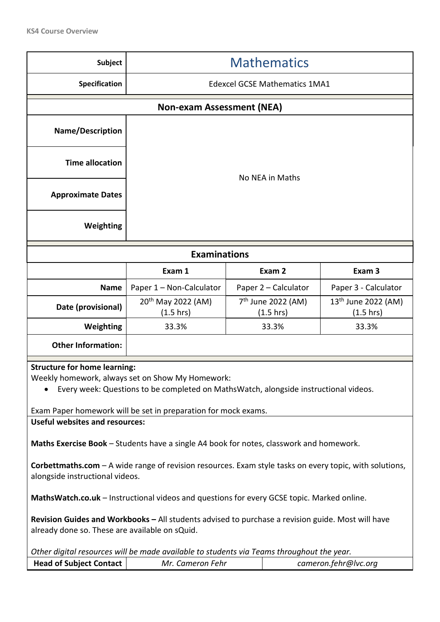| <b>Subject</b>                                                                                                                                                                                                                                                                                                                                                                        | <b>Mathematics</b>                                                                                                                         |                 |                                      |                      |
|---------------------------------------------------------------------------------------------------------------------------------------------------------------------------------------------------------------------------------------------------------------------------------------------------------------------------------------------------------------------------------------|--------------------------------------------------------------------------------------------------------------------------------------------|-----------------|--------------------------------------|----------------------|
| Specification                                                                                                                                                                                                                                                                                                                                                                         |                                                                                                                                            |                 | <b>Edexcel GCSE Mathematics 1MA1</b> |                      |
|                                                                                                                                                                                                                                                                                                                                                                                       | <b>Non-exam Assessment (NEA)</b>                                                                                                           |                 |                                      |                      |
| <b>Name/Description</b>                                                                                                                                                                                                                                                                                                                                                               |                                                                                                                                            |                 |                                      |                      |
| <b>Time allocation</b>                                                                                                                                                                                                                                                                                                                                                                |                                                                                                                                            | No NEA in Maths |                                      |                      |
| <b>Approximate Dates</b>                                                                                                                                                                                                                                                                                                                                                              |                                                                                                                                            |                 |                                      |                      |
| Weighting                                                                                                                                                                                                                                                                                                                                                                             |                                                                                                                                            |                 |                                      |                      |
|                                                                                                                                                                                                                                                                                                                                                                                       | <b>Examinations</b>                                                                                                                        |                 |                                      |                      |
|                                                                                                                                                                                                                                                                                                                                                                                       | Exam 1<br>Exam 2<br>Exam 3                                                                                                                 |                 |                                      |                      |
| <b>Name</b>                                                                                                                                                                                                                                                                                                                                                                           | Paper 1 - Non-Calculator                                                                                                                   |                 | Paper 2 - Calculator                 | Paper 3 - Calculator |
| Date (provisional)                                                                                                                                                                                                                                                                                                                                                                    | 7 <sup>th</sup> June 2022 (AM)<br>13 <sup>th</sup> June 2022 (AM)<br>20 <sup>th</sup> May 2022 (AM)<br>(1.5 hrs)<br>(1.5 hrs)<br>(1.5 hrs) |                 |                                      |                      |
| Weighting                                                                                                                                                                                                                                                                                                                                                                             | 33.3%<br>33.3%<br>33.3%                                                                                                                    |                 |                                      |                      |
| <b>Other Information:</b>                                                                                                                                                                                                                                                                                                                                                             |                                                                                                                                            |                 |                                      |                      |
| <b>Structure for home learning:</b><br>Weekly homework, always set on Show My Homework:<br>Every week: Questions to be completed on MathsWatch, alongside instructional videos.<br>Exam Paper homework will be set in preparation for mock exams.<br><b>Useful websites and resources:</b><br>Maths Exercise Book - Students have a single A4 book for notes, classwork and homework. |                                                                                                                                            |                 |                                      |                      |
| <b>Corbettmaths.com</b> – A wide range of revision resources. Exam style tasks on every topic, with solutions,<br>alongside instructional videos.                                                                                                                                                                                                                                     |                                                                                                                                            |                 |                                      |                      |
|                                                                                                                                                                                                                                                                                                                                                                                       | MathsWatch.co.uk - Instructional videos and questions for every GCSE topic. Marked online.                                                 |                 |                                      |                      |
| Revision Guides and Workbooks - All students advised to purchase a revision guide. Most will have<br>already done so. These are available on sQuid.                                                                                                                                                                                                                                   |                                                                                                                                            |                 |                                      |                      |
|                                                                                                                                                                                                                                                                                                                                                                                       | Other digital resources will be made available to students via Teams throughout the year.                                                  |                 |                                      |                      |
| <b>Head of Subject Contact</b>                                                                                                                                                                                                                                                                                                                                                        | Mr. Cameron Fehr<br>cameron.fehr@lvc.org                                                                                                   |                 |                                      |                      |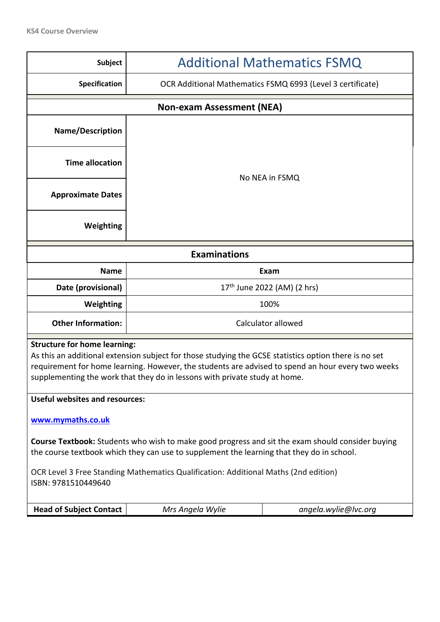| <b>Subject</b>                                                                                                                                                                                                                                                                                                                  | <b>Additional Mathematics FSMQ</b>                                                  |                      |  |  |
|---------------------------------------------------------------------------------------------------------------------------------------------------------------------------------------------------------------------------------------------------------------------------------------------------------------------------------|-------------------------------------------------------------------------------------|----------------------|--|--|
| Specification                                                                                                                                                                                                                                                                                                                   | OCR Additional Mathematics FSMQ 6993 (Level 3 certificate)                          |                      |  |  |
|                                                                                                                                                                                                                                                                                                                                 | <b>Non-exam Assessment (NEA)</b>                                                    |                      |  |  |
| Name/Description                                                                                                                                                                                                                                                                                                                |                                                                                     |                      |  |  |
| <b>Time allocation</b>                                                                                                                                                                                                                                                                                                          |                                                                                     |                      |  |  |
| <b>Approximate Dates</b>                                                                                                                                                                                                                                                                                                        | No NEA in FSMQ                                                                      |                      |  |  |
| Weighting                                                                                                                                                                                                                                                                                                                       |                                                                                     |                      |  |  |
| <b>Examinations</b>                                                                                                                                                                                                                                                                                                             |                                                                                     |                      |  |  |
| <b>Name</b>                                                                                                                                                                                                                                                                                                                     | Exam                                                                                |                      |  |  |
| Date (provisional)                                                                                                                                                                                                                                                                                                              | 17 <sup>th</sup> June 2022 (AM) (2 hrs)                                             |                      |  |  |
| Weighting                                                                                                                                                                                                                                                                                                                       | 100%                                                                                |                      |  |  |
| <b>Other Information:</b>                                                                                                                                                                                                                                                                                                       | Calculator allowed                                                                  |                      |  |  |
| <b>Structure for home learning:</b><br>As this an additional extension subject for those studying the GCSE statistics option there is no set<br>requirement for home learning. However, the students are advised to spend an hour every two weeks<br>supplementing the work that they do in lessons with private study at home. |                                                                                     |                      |  |  |
| <b>Useful websites and resources:</b>                                                                                                                                                                                                                                                                                           |                                                                                     |                      |  |  |
| www.mymaths.co.uk                                                                                                                                                                                                                                                                                                               |                                                                                     |                      |  |  |
| <b>Course Textbook:</b> Students who wish to make good progress and sit the exam should consider buying<br>the course textbook which they can use to supplement the learning that they do in school.                                                                                                                            |                                                                                     |                      |  |  |
| ISBN: 9781510449640                                                                                                                                                                                                                                                                                                             | OCR Level 3 Free Standing Mathematics Qualification: Additional Maths (2nd edition) |                      |  |  |
| <b>Head of Subject Contact</b>                                                                                                                                                                                                                                                                                                  | Mrs Angela Wylie                                                                    | angela.wylie@lvc.org |  |  |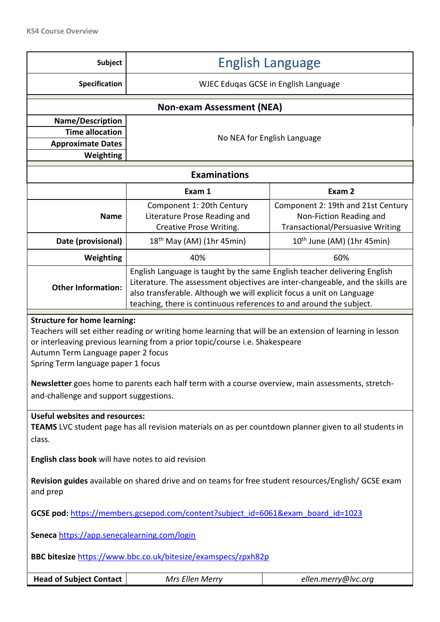| <b>Subject</b>                                                                                                                                                                                                                                                                                                                                                                                                                                              | <b>English Language</b>                                                              |                                                                                                          |  |
|-------------------------------------------------------------------------------------------------------------------------------------------------------------------------------------------------------------------------------------------------------------------------------------------------------------------------------------------------------------------------------------------------------------------------------------------------------------|--------------------------------------------------------------------------------------|----------------------------------------------------------------------------------------------------------|--|
| <b>Specification</b>                                                                                                                                                                                                                                                                                                                                                                                                                                        | WJEC Eduqas GCSE in English Language                                                 |                                                                                                          |  |
|                                                                                                                                                                                                                                                                                                                                                                                                                                                             | <b>Non-exam Assessment (NEA)</b>                                                     |                                                                                                          |  |
| Name/Description<br><b>Time allocation</b><br><b>Approximate Dates</b><br><b>Weighting</b>                                                                                                                                                                                                                                                                                                                                                                  | No NEA for English Language                                                          |                                                                                                          |  |
|                                                                                                                                                                                                                                                                                                                                                                                                                                                             | <b>Examinations</b>                                                                  |                                                                                                          |  |
|                                                                                                                                                                                                                                                                                                                                                                                                                                                             | Exam 1                                                                               | Exam 2                                                                                                   |  |
| <b>Name</b>                                                                                                                                                                                                                                                                                                                                                                                                                                                 | Component 1: 20th Century<br>Literature Prose Reading and<br>Creative Prose Writing. | Component 2: 19th and 21st Century<br>Non-Fiction Reading and<br><b>Transactional/Persuasive Writing</b> |  |
| Date (provisional)                                                                                                                                                                                                                                                                                                                                                                                                                                          | $18th$ May (AM) (1hr 45min)                                                          | $10^{th}$ June (AM) (1hr 45min)                                                                          |  |
| Weighting                                                                                                                                                                                                                                                                                                                                                                                                                                                   | 40%                                                                                  | 60%                                                                                                      |  |
| English Language is taught by the same English teacher delivering English<br>Literature. The assessment objectives are inter-changeable, and the skills are<br><b>Other Information:</b><br>also transferable. Although we will explicit focus a unit on Language<br>teaching, there is continuous references to and around the subject.                                                                                                                    |                                                                                      |                                                                                                          |  |
| <b>Structure for home learning:</b><br>Teachers will set either reading or writing home learning that will be an extension of learning in lesson<br>or interleaving previous learning from a prior topic/course i.e. Shakespeare<br>Autumn Term Language paper 2 focus<br>Spring Term language paper 1 focus<br>Newsletter goes home to parents each half term with a course overview, main assessments, stretch-<br>and-challenge and support suggestions. |                                                                                      |                                                                                                          |  |
| <b>Useful websites and resources:</b><br>TEAMS LVC student page has all revision materials on as per countdown planner given to all students in<br>class.                                                                                                                                                                                                                                                                                                   |                                                                                      |                                                                                                          |  |
| English class book will have notes to aid revision                                                                                                                                                                                                                                                                                                                                                                                                          |                                                                                      |                                                                                                          |  |
| Revision guides available on shared drive and on teams for free student resources/English/ GCSE exam<br>and prep                                                                                                                                                                                                                                                                                                                                            |                                                                                      |                                                                                                          |  |
| GCSE pod: https://members.gcsepod.com/content?subject_id=6061&exam_board_id=1023                                                                                                                                                                                                                                                                                                                                                                            |                                                                                      |                                                                                                          |  |
| Seneca https://app.senecalearning.com/login                                                                                                                                                                                                                                                                                                                                                                                                                 |                                                                                      |                                                                                                          |  |
| BBC bitesize https://www.bbc.co.uk/bitesize/examspecs/zpxh82p                                                                                                                                                                                                                                                                                                                                                                                               |                                                                                      |                                                                                                          |  |
| <b>Head of Subject Contact</b>                                                                                                                                                                                                                                                                                                                                                                                                                              | Mrs Ellen Merry                                                                      | ellen.merry@lvc.org                                                                                      |  |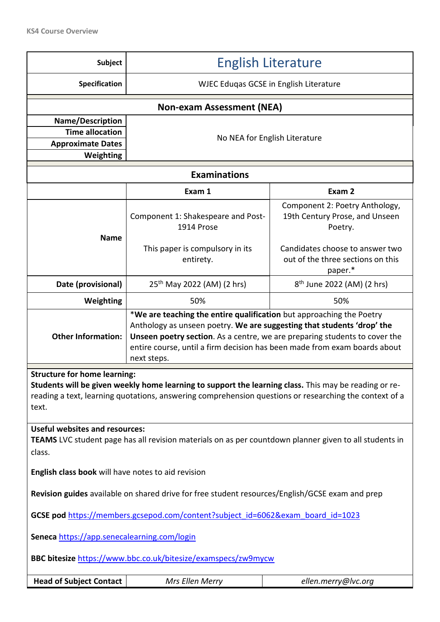| <b>Subject</b>                                                                                                                                                                                                                                                  | <b>English Literature</b>                                                                                                                                                                                                                                                                                                |                                                                                                                |  |  |
|-----------------------------------------------------------------------------------------------------------------------------------------------------------------------------------------------------------------------------------------------------------------|--------------------------------------------------------------------------------------------------------------------------------------------------------------------------------------------------------------------------------------------------------------------------------------------------------------------------|----------------------------------------------------------------------------------------------------------------|--|--|
| Specification                                                                                                                                                                                                                                                   | WJEC Eduqas GCSE in English Literature                                                                                                                                                                                                                                                                                   |                                                                                                                |  |  |
|                                                                                                                                                                                                                                                                 | <b>Non-exam Assessment (NEA)</b>                                                                                                                                                                                                                                                                                         |                                                                                                                |  |  |
| Name/Description<br><b>Time allocation</b><br><b>Approximate Dates</b><br>Weighting                                                                                                                                                                             | No NEA for English Literature                                                                                                                                                                                                                                                                                            |                                                                                                                |  |  |
|                                                                                                                                                                                                                                                                 | <b>Examinations</b>                                                                                                                                                                                                                                                                                                      |                                                                                                                |  |  |
|                                                                                                                                                                                                                                                                 | Exam 1                                                                                                                                                                                                                                                                                                                   | Exam 2                                                                                                         |  |  |
| <b>Name</b>                                                                                                                                                                                                                                                     | Component 1: Shakespeare and Post-<br>1914 Prose<br>This paper is compulsory in its                                                                                                                                                                                                                                      | Component 2: Poetry Anthology,<br>19th Century Prose, and Unseen<br>Poetry.<br>Candidates choose to answer two |  |  |
|                                                                                                                                                                                                                                                                 | entirety.                                                                                                                                                                                                                                                                                                                | out of the three sections on this<br>paper.*                                                                   |  |  |
| Date (provisional)                                                                                                                                                                                                                                              | 25 <sup>th</sup> May 2022 (AM) (2 hrs)<br>8 <sup>th</sup> June 2022 (AM) (2 hrs)                                                                                                                                                                                                                                         |                                                                                                                |  |  |
| Weighting                                                                                                                                                                                                                                                       | 50%                                                                                                                                                                                                                                                                                                                      | 50%                                                                                                            |  |  |
| <b>Other Information:</b>                                                                                                                                                                                                                                       | *We are teaching the entire qualification but approaching the Poetry<br>Anthology as unseen poetry. We are suggesting that students 'drop' the<br>Unseen poetry section. As a centre, we are preparing students to cover the<br>entire course, until a firm decision has been made from exam boards about<br>next steps. |                                                                                                                |  |  |
| <b>Structure for home learning:</b><br>Students will be given weekly home learning to support the learning class. This may be reading or re-<br>reading a text, learning quotations, answering comprehension questions or researching the context of a<br>text. |                                                                                                                                                                                                                                                                                                                          |                                                                                                                |  |  |
| <b>Useful websites and resources:</b><br>TEAMS LVC student page has all revision materials on as per countdown planner given to all students in<br>class.                                                                                                       |                                                                                                                                                                                                                                                                                                                          |                                                                                                                |  |  |
|                                                                                                                                                                                                                                                                 | English class book will have notes to aid revision                                                                                                                                                                                                                                                                       |                                                                                                                |  |  |
| Revision guides available on shared drive for free student resources/English/GCSE exam and prep                                                                                                                                                                 |                                                                                                                                                                                                                                                                                                                          |                                                                                                                |  |  |
| GCSE pod https://members.gcsepod.com/content?subject_id=6062&exam_board_id=1023                                                                                                                                                                                 |                                                                                                                                                                                                                                                                                                                          |                                                                                                                |  |  |
| Seneca https://app.senecalearning.com/login                                                                                                                                                                                                                     |                                                                                                                                                                                                                                                                                                                          |                                                                                                                |  |  |
| BBC bitesize https://www.bbc.co.uk/bitesize/examspecs/zw9mycw                                                                                                                                                                                                   |                                                                                                                                                                                                                                                                                                                          |                                                                                                                |  |  |
| <b>Head of Subject Contact</b>                                                                                                                                                                                                                                  | Mrs Ellen Merry                                                                                                                                                                                                                                                                                                          | ellen.merry@lvc.org                                                                                            |  |  |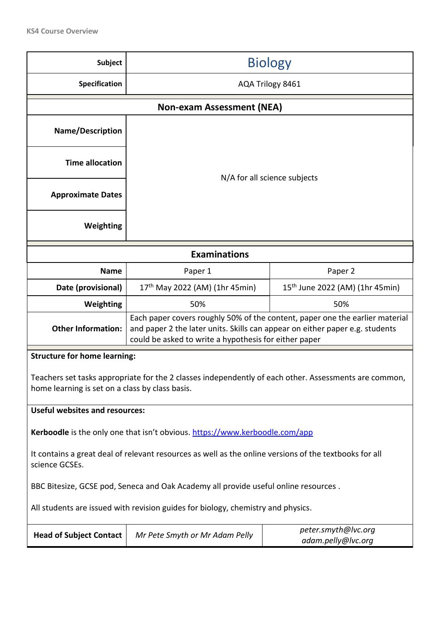| Subject                                                                                                                                                  | <b>Biology</b>                                                                                                                                                                                                        |                                             |  |  |
|----------------------------------------------------------------------------------------------------------------------------------------------------------|-----------------------------------------------------------------------------------------------------------------------------------------------------------------------------------------------------------------------|---------------------------------------------|--|--|
| Specification                                                                                                                                            | AQA Trilogy 8461                                                                                                                                                                                                      |                                             |  |  |
|                                                                                                                                                          | <b>Non-exam Assessment (NEA)</b>                                                                                                                                                                                      |                                             |  |  |
| Name/Description                                                                                                                                         | N/A for all science subjects                                                                                                                                                                                          |                                             |  |  |
| <b>Time allocation</b>                                                                                                                                   |                                                                                                                                                                                                                       |                                             |  |  |
| <b>Approximate Dates</b>                                                                                                                                 |                                                                                                                                                                                                                       |                                             |  |  |
| Weighting                                                                                                                                                |                                                                                                                                                                                                                       |                                             |  |  |
|                                                                                                                                                          | <b>Examinations</b>                                                                                                                                                                                                   |                                             |  |  |
| <b>Name</b>                                                                                                                                              | Paper 1                                                                                                                                                                                                               | Paper 2                                     |  |  |
| Date (provisional)                                                                                                                                       | 17 <sup>th</sup> May 2022 (AM) (1hr 45min)                                                                                                                                                                            | 15 <sup>th</sup> June 2022 (AM) (1hr 45min) |  |  |
| Weighting                                                                                                                                                | 50%                                                                                                                                                                                                                   | 50%                                         |  |  |
| <b>Other Information:</b>                                                                                                                                | Each paper covers roughly 50% of the content, paper one the earlier material<br>and paper 2 the later units. Skills can appear on either paper e.g. students<br>could be asked to write a hypothesis for either paper |                                             |  |  |
| <b>Structure for home learning:</b>                                                                                                                      |                                                                                                                                                                                                                       |                                             |  |  |
| Teachers set tasks appropriate for the 2 classes independently of each other. Assessments are common,<br>home learning is set on a class by class basis. |                                                                                                                                                                                                                       |                                             |  |  |
| <b>Useful websites and resources:</b>                                                                                                                    |                                                                                                                                                                                                                       |                                             |  |  |
| Kerboodle is the only one that isn't obvious. https://www.kerboodle.com/app                                                                              |                                                                                                                                                                                                                       |                                             |  |  |
| science GCSEs.                                                                                                                                           | It contains a great deal of relevant resources as well as the online versions of the textbooks for all                                                                                                                |                                             |  |  |
| BBC Bitesize, GCSE pod, Seneca and Oak Academy all provide useful online resources.                                                                      |                                                                                                                                                                                                                       |                                             |  |  |
| All students are issued with revision guides for biology, chemistry and physics.                                                                         |                                                                                                                                                                                                                       |                                             |  |  |
| <b>Head of Subject Contact</b>                                                                                                                           | peter.smyth@lvc.org<br>Mr Pete Smyth or Mr Adam Pelly<br>adam.pelly@lvc.org                                                                                                                                           |                                             |  |  |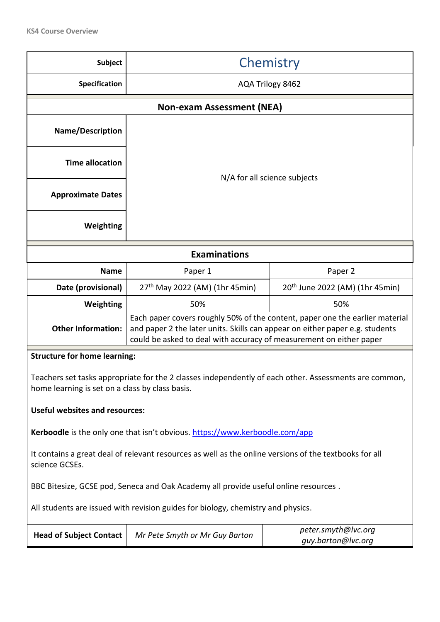| <b>Subject</b>                                                                                                                                          | Chemistry                                                                                                                                                                                                                           |     |  |  |
|---------------------------------------------------------------------------------------------------------------------------------------------------------|-------------------------------------------------------------------------------------------------------------------------------------------------------------------------------------------------------------------------------------|-----|--|--|
| Specification                                                                                                                                           | AQA Trilogy 8462                                                                                                                                                                                                                    |     |  |  |
|                                                                                                                                                         | <b>Non-exam Assessment (NEA)</b>                                                                                                                                                                                                    |     |  |  |
| Name/Description                                                                                                                                        | N/A for all science subjects                                                                                                                                                                                                        |     |  |  |
| <b>Time allocation</b>                                                                                                                                  |                                                                                                                                                                                                                                     |     |  |  |
| <b>Approximate Dates</b>                                                                                                                                |                                                                                                                                                                                                                                     |     |  |  |
| Weighting                                                                                                                                               |                                                                                                                                                                                                                                     |     |  |  |
|                                                                                                                                                         | <b>Examinations</b>                                                                                                                                                                                                                 |     |  |  |
| <b>Name</b>                                                                                                                                             | Paper 2<br>Paper 1                                                                                                                                                                                                                  |     |  |  |
| Date (provisional)                                                                                                                                      | 20 <sup>th</sup> June 2022 (AM) (1hr 45min)<br>27 <sup>th</sup> May 2022 (AM) (1hr 45min)                                                                                                                                           |     |  |  |
| Weighting                                                                                                                                               | 50%                                                                                                                                                                                                                                 | 50% |  |  |
| <b>Other Information:</b>                                                                                                                               | Each paper covers roughly 50% of the content, paper one the earlier material<br>and paper 2 the later units. Skills can appear on either paper e.g. students<br>could be asked to deal with accuracy of measurement on either paper |     |  |  |
| <b>Structure for home learning:</b>                                                                                                                     |                                                                                                                                                                                                                                     |     |  |  |
| Teachers set tasks appropriate for the 2 classes independently of each other. Assessments are common<br>home learning is set on a class by class basis. |                                                                                                                                                                                                                                     |     |  |  |
| <b>Useful websites and resources:</b>                                                                                                                   |                                                                                                                                                                                                                                     |     |  |  |
| Kerboodle is the only one that isn't obvious. https://www.kerboodle.com/app                                                                             |                                                                                                                                                                                                                                     |     |  |  |
| science GCSEs.                                                                                                                                          | It contains a great deal of relevant resources as well as the online versions of the textbooks for all                                                                                                                              |     |  |  |
| BBC Bitesize, GCSE pod, Seneca and Oak Academy all provide useful online resources.                                                                     |                                                                                                                                                                                                                                     |     |  |  |
| All students are issued with revision guides for biology, chemistry and physics.                                                                        |                                                                                                                                                                                                                                     |     |  |  |
| <b>Head of Subject Contact</b>                                                                                                                          | peter.smyth@lvc.org<br>Mr Pete Smyth or Mr Guy Barton<br>guy.barton@lvc.org                                                                                                                                                         |     |  |  |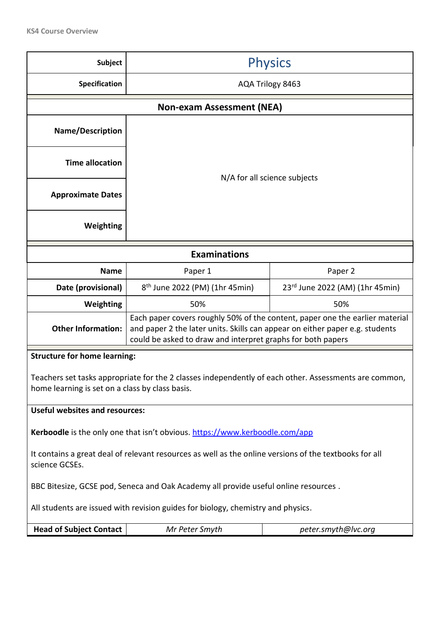| <b>Subject</b>                                                                                                                                           | <b>Physics</b>                                                                                                                                                                                                              |         |  |  |
|----------------------------------------------------------------------------------------------------------------------------------------------------------|-----------------------------------------------------------------------------------------------------------------------------------------------------------------------------------------------------------------------------|---------|--|--|
| Specification                                                                                                                                            | AQA Trilogy 8463                                                                                                                                                                                                            |         |  |  |
|                                                                                                                                                          | <b>Non-exam Assessment (NEA)</b>                                                                                                                                                                                            |         |  |  |
| <b>Name/Description</b>                                                                                                                                  |                                                                                                                                                                                                                             |         |  |  |
| <b>Time allocation</b>                                                                                                                                   | N/A for all science subjects                                                                                                                                                                                                |         |  |  |
| <b>Approximate Dates</b>                                                                                                                                 |                                                                                                                                                                                                                             |         |  |  |
| Weighting                                                                                                                                                |                                                                                                                                                                                                                             |         |  |  |
| <b>Examinations</b>                                                                                                                                      |                                                                                                                                                                                                                             |         |  |  |
| <b>Name</b>                                                                                                                                              | Paper 1                                                                                                                                                                                                                     | Paper 2 |  |  |
| Date (provisional)                                                                                                                                       | 8 <sup>th</sup> June 2022 (PM) (1hr 45min)<br>23rd June 2022 (AM) (1hr 45min)                                                                                                                                               |         |  |  |
| Weighting                                                                                                                                                | 50%<br>50%                                                                                                                                                                                                                  |         |  |  |
| <b>Other Information:</b>                                                                                                                                | Each paper covers roughly 50% of the content, paper one the earlier material<br>and paper 2 the later units. Skills can appear on either paper e.g. students<br>could be asked to draw and interpret graphs for both papers |         |  |  |
| <b>Structure for home learning:</b>                                                                                                                      |                                                                                                                                                                                                                             |         |  |  |
| Teachers set tasks appropriate for the 2 classes independently of each other. Assessments are common,<br>home learning is set on a class by class basis. |                                                                                                                                                                                                                             |         |  |  |
| <b>Useful websites and resources:</b>                                                                                                                    |                                                                                                                                                                                                                             |         |  |  |
|                                                                                                                                                          | Kerboodle is the only one that isn't obvious. https://www.kerboodle.com/app                                                                                                                                                 |         |  |  |
| It contains a great deal of relevant resources as well as the online versions of the textbooks for all<br>science GCSEs.                                 |                                                                                                                                                                                                                             |         |  |  |
|                                                                                                                                                          | BBC Bitesize, GCSE pod, Seneca and Oak Academy all provide useful online resources.                                                                                                                                         |         |  |  |
|                                                                                                                                                          | All students are issued with revision guides for biology, chemistry and physics.                                                                                                                                            |         |  |  |
| <b>Head of Subject Contact</b>                                                                                                                           | Mr Peter Smyth<br>peter.smyth@lvc.org                                                                                                                                                                                       |         |  |  |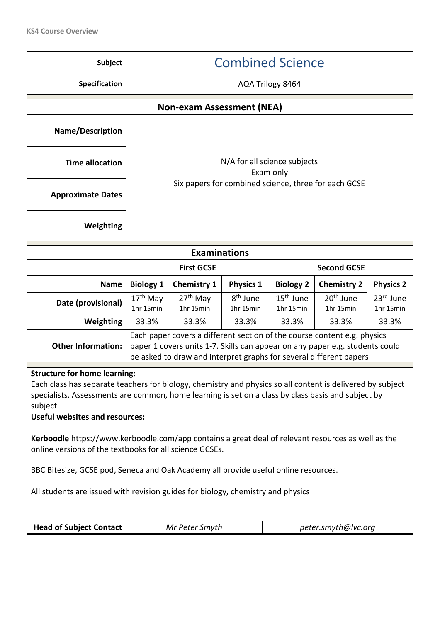| Subject                                                                                                                                                                                                                                                                                                                                                                                                                                                                       | <b>Combined Science</b>                                                                                                                                                                                                        |                                                                                                                                |                  |                  |                                                      |                        |
|-------------------------------------------------------------------------------------------------------------------------------------------------------------------------------------------------------------------------------------------------------------------------------------------------------------------------------------------------------------------------------------------------------------------------------------------------------------------------------|--------------------------------------------------------------------------------------------------------------------------------------------------------------------------------------------------------------------------------|--------------------------------------------------------------------------------------------------------------------------------|------------------|------------------|------------------------------------------------------|------------------------|
| Specification                                                                                                                                                                                                                                                                                                                                                                                                                                                                 |                                                                                                                                                                                                                                | AQA Trilogy 8464                                                                                                               |                  |                  |                                                      |                        |
|                                                                                                                                                                                                                                                                                                                                                                                                                                                                               |                                                                                                                                                                                                                                | <b>Non-exam Assessment (NEA)</b>                                                                                               |                  |                  |                                                      |                        |
| <b>Name/Description</b>                                                                                                                                                                                                                                                                                                                                                                                                                                                       |                                                                                                                                                                                                                                |                                                                                                                                |                  |                  |                                                      |                        |
| <b>Time allocation</b>                                                                                                                                                                                                                                                                                                                                                                                                                                                        | N/A for all science subjects<br>Exam only                                                                                                                                                                                      |                                                                                                                                |                  |                  |                                                      |                        |
| <b>Approximate Dates</b>                                                                                                                                                                                                                                                                                                                                                                                                                                                      |                                                                                                                                                                                                                                |                                                                                                                                |                  |                  | Six papers for combined science, three for each GCSE |                        |
| Weighting                                                                                                                                                                                                                                                                                                                                                                                                                                                                     |                                                                                                                                                                                                                                |                                                                                                                                |                  |                  |                                                      |                        |
|                                                                                                                                                                                                                                                                                                                                                                                                                                                                               |                                                                                                                                                                                                                                | <b>Examinations</b>                                                                                                            |                  |                  |                                                      |                        |
|                                                                                                                                                                                                                                                                                                                                                                                                                                                                               |                                                                                                                                                                                                                                | <b>First GCSE</b>                                                                                                              |                  |                  | <b>Second GCSE</b>                                   |                        |
| <b>Name</b>                                                                                                                                                                                                                                                                                                                                                                                                                                                                   | <b>Biology 1</b>                                                                                                                                                                                                               | <b>Chemistry 1</b>                                                                                                             | <b>Physics 1</b> | <b>Biology 2</b> | <b>Chemistry 2</b>                                   | <b>Physics 2</b>       |
| Date (provisional)                                                                                                                                                                                                                                                                                                                                                                                                                                                            | $17th$ May<br>1hr 15min                                                                                                                                                                                                        | 20 <sup>th</sup> June<br>8 <sup>th</sup> June<br>$15th$ June<br>$27th$ May<br>1hr 15min<br>1hr 15min<br>1hr 15min<br>1hr 15min |                  |                  |                                                      | 23rd June<br>1hr 15min |
| Weighting                                                                                                                                                                                                                                                                                                                                                                                                                                                                     | 33.3%                                                                                                                                                                                                                          | 33.3%                                                                                                                          | 33.3%            | 33.3%            | 33.3%                                                | 33.3%                  |
| <b>Other Information:</b>                                                                                                                                                                                                                                                                                                                                                                                                                                                     | Each paper covers a different section of the course content e.g. physics<br>paper 1 covers units 1-7. Skills can appear on any paper e.g. students could<br>be asked to draw and interpret graphs for several different papers |                                                                                                                                |                  |                  |                                                      |                        |
| <b>Structure for home learning:</b><br>Each class has separate teachers for biology, chemistry and physics so all content is delivered by subject<br>specialists. Assessments are common, home learning is set on a class by class basis and subject by<br>subject.<br><b>Useful websites and resources:</b><br>Kerboodle https://www.kerboodle.com/app contains a great deal of relevant resources as well as the<br>online versions of the textbooks for all science GCSEs. |                                                                                                                                                                                                                                |                                                                                                                                |                  |                  |                                                      |                        |
| BBC Bitesize, GCSE pod, Seneca and Oak Academy all provide useful online resources.<br>All students are issued with revision guides for biology, chemistry and physics                                                                                                                                                                                                                                                                                                        |                                                                                                                                                                                                                                |                                                                                                                                |                  |                  |                                                      |                        |
| <b>Head of Subject Contact</b>                                                                                                                                                                                                                                                                                                                                                                                                                                                | Mr Peter Smyth<br>peter.smyth@lvc.org                                                                                                                                                                                          |                                                                                                                                |                  |                  |                                                      |                        |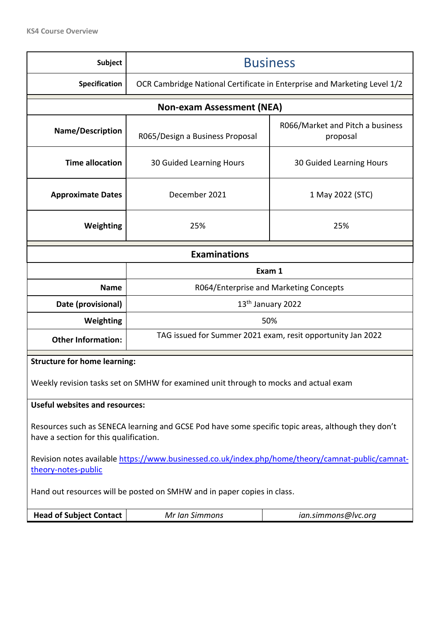| <b>Subject</b>                                                                                                                               | <b>Business</b>                                                                      |                                              |  |  |
|----------------------------------------------------------------------------------------------------------------------------------------------|--------------------------------------------------------------------------------------|----------------------------------------------|--|--|
| <b>Specification</b>                                                                                                                         | OCR Cambridge National Certificate in Enterprise and Marketing Level 1/2             |                                              |  |  |
|                                                                                                                                              | <b>Non-exam Assessment (NEA)</b>                                                     |                                              |  |  |
| <b>Name/Description</b>                                                                                                                      | R065/Design a Business Proposal                                                      | R066/Market and Pitch a business<br>proposal |  |  |
| <b>Time allocation</b>                                                                                                                       | 30 Guided Learning Hours                                                             | 30 Guided Learning Hours                     |  |  |
| <b>Approximate Dates</b>                                                                                                                     | December 2021                                                                        | 1 May 2022 (STC)                             |  |  |
| Weighting                                                                                                                                    | 25%                                                                                  | 25%                                          |  |  |
| <b>Examinations</b>                                                                                                                          |                                                                                      |                                              |  |  |
|                                                                                                                                              | Exam 1                                                                               |                                              |  |  |
| <b>Name</b>                                                                                                                                  | R064/Enterprise and Marketing Concepts                                               |                                              |  |  |
| Date (provisional)                                                                                                                           | 13 <sup>th</sup> January 2022                                                        |                                              |  |  |
| Weighting                                                                                                                                    | 50%                                                                                  |                                              |  |  |
| <b>Other Information:</b>                                                                                                                    | TAG issued for Summer 2021 exam, resit opportunity Jan 2022                          |                                              |  |  |
| <b>Structure for home learning:</b>                                                                                                          |                                                                                      |                                              |  |  |
|                                                                                                                                              | Weekly revision tasks set on SMHW for examined unit through to mocks and actual exam |                                              |  |  |
| <b>Useful websites and resources:</b>                                                                                                        |                                                                                      |                                              |  |  |
| Resources such as SENECA learning and GCSE Pod have some specific topic areas, although they don't<br>have a section for this qualification. |                                                                                      |                                              |  |  |
| Revision notes available https://www.businessed.co.uk/index.php/home/theory/camnat-public/camnat-<br>theory-notes-public                     |                                                                                      |                                              |  |  |
|                                                                                                                                              | Hand out resources will be posted on SMHW and in paper copies in class.              |                                              |  |  |
| <b>Head of Subject Contact</b>                                                                                                               | Mr Ian Simmons<br>ian.simmons@lvc.org                                                |                                              |  |  |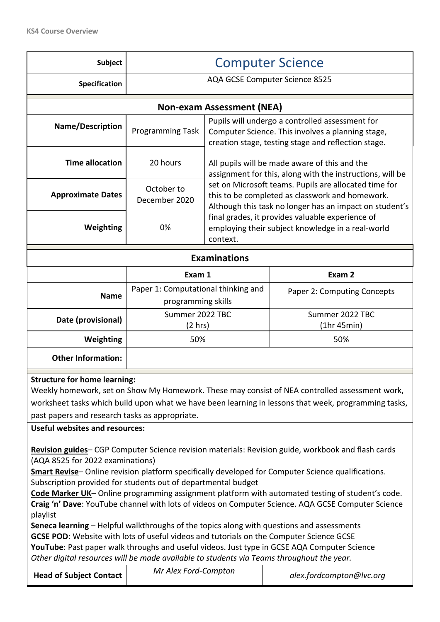| <b>Subject</b>                                                                                                                                                                                                                                                                                                                                                                                                                                                                                                                                                                                                                                                                                                                                                                                                                                                                                                                                                                                                                                                                                                                                                                                                                                                    | <b>Computer Science</b>                                   |                                                                                                            |                                                                                                                                                             |  |
|-------------------------------------------------------------------------------------------------------------------------------------------------------------------------------------------------------------------------------------------------------------------------------------------------------------------------------------------------------------------------------------------------------------------------------------------------------------------------------------------------------------------------------------------------------------------------------------------------------------------------------------------------------------------------------------------------------------------------------------------------------------------------------------------------------------------------------------------------------------------------------------------------------------------------------------------------------------------------------------------------------------------------------------------------------------------------------------------------------------------------------------------------------------------------------------------------------------------------------------------------------------------|-----------------------------------------------------------|------------------------------------------------------------------------------------------------------------|-------------------------------------------------------------------------------------------------------------------------------------------------------------|--|
| Specification                                                                                                                                                                                                                                                                                                                                                                                                                                                                                                                                                                                                                                                                                                                                                                                                                                                                                                                                                                                                                                                                                                                                                                                                                                                     | AQA GCSE Computer Science 8525                            |                                                                                                            |                                                                                                                                                             |  |
|                                                                                                                                                                                                                                                                                                                                                                                                                                                                                                                                                                                                                                                                                                                                                                                                                                                                                                                                                                                                                                                                                                                                                                                                                                                                   |                                                           | <b>Non-exam Assessment (NEA)</b>                                                                           |                                                                                                                                                             |  |
| <b>Name/Description</b>                                                                                                                                                                                                                                                                                                                                                                                                                                                                                                                                                                                                                                                                                                                                                                                                                                                                                                                                                                                                                                                                                                                                                                                                                                           | Programming Task                                          |                                                                                                            | Pupils will undergo a controlled assessment for<br>Computer Science. This involves a planning stage,<br>creation stage, testing stage and reflection stage. |  |
| <b>Time allocation</b>                                                                                                                                                                                                                                                                                                                                                                                                                                                                                                                                                                                                                                                                                                                                                                                                                                                                                                                                                                                                                                                                                                                                                                                                                                            | 20 hours                                                  | All pupils will be made aware of this and the<br>assignment for this, along with the instructions, will be |                                                                                                                                                             |  |
| <b>Approximate Dates</b>                                                                                                                                                                                                                                                                                                                                                                                                                                                                                                                                                                                                                                                                                                                                                                                                                                                                                                                                                                                                                                                                                                                                                                                                                                          | October to<br>December 2020                               | set on Microsoft teams. Pupils are allocated time for<br>this to be completed as classwork and homework.   | Although this task no longer has an impact on student's                                                                                                     |  |
| Weighting                                                                                                                                                                                                                                                                                                                                                                                                                                                                                                                                                                                                                                                                                                                                                                                                                                                                                                                                                                                                                                                                                                                                                                                                                                                         | 0%                                                        | context.                                                                                                   | final grades, it provides valuable experience of<br>employing their subject knowledge in a real-world                                                       |  |
|                                                                                                                                                                                                                                                                                                                                                                                                                                                                                                                                                                                                                                                                                                                                                                                                                                                                                                                                                                                                                                                                                                                                                                                                                                                                   |                                                           | <b>Examinations</b>                                                                                        |                                                                                                                                                             |  |
|                                                                                                                                                                                                                                                                                                                                                                                                                                                                                                                                                                                                                                                                                                                                                                                                                                                                                                                                                                                                                                                                                                                                                                                                                                                                   | Exam 1                                                    |                                                                                                            | Exam 2                                                                                                                                                      |  |
| <b>Name</b>                                                                                                                                                                                                                                                                                                                                                                                                                                                                                                                                                                                                                                                                                                                                                                                                                                                                                                                                                                                                                                                                                                                                                                                                                                                       | Paper 1: Computational thinking and<br>programming skills |                                                                                                            | Paper 2: Computing Concepts                                                                                                                                 |  |
| Date (provisional)                                                                                                                                                                                                                                                                                                                                                                                                                                                                                                                                                                                                                                                                                                                                                                                                                                                                                                                                                                                                                                                                                                                                                                                                                                                | Summer 2022 TBC<br>$(2 \text{ hrs})$                      |                                                                                                            | Summer 2022 TBC<br>(1hr 45min)                                                                                                                              |  |
| Weighting                                                                                                                                                                                                                                                                                                                                                                                                                                                                                                                                                                                                                                                                                                                                                                                                                                                                                                                                                                                                                                                                                                                                                                                                                                                         | 50%                                                       |                                                                                                            | 50%                                                                                                                                                         |  |
| <b>Other Information:</b>                                                                                                                                                                                                                                                                                                                                                                                                                                                                                                                                                                                                                                                                                                                                                                                                                                                                                                                                                                                                                                                                                                                                                                                                                                         |                                                           |                                                                                                            |                                                                                                                                                             |  |
| <b>Structure for home learning:</b><br>Weekly homework, set on Show My Homework. These may consist of NEA controlled assessment work,<br>worksheet tasks which build upon what we have been learning in lessons that week, programming tasks,<br>past papers and research tasks as appropriate.<br><b>Useful websites and resources:</b><br>Revision guides- CGP Computer Science revision materials: Revision guide, workbook and flash cards<br>(AQA 8525 for 2022 examinations)<br>Smart Revise-Online revision platform specifically developed for Computer Science qualifications.<br>Subscription provided for students out of departmental budget<br>Code Marker UK-Online programming assignment platform with automated testing of student's code.<br>Craig 'n' Dave: YouTube channel with lots of videos on Computer Science. AQA GCSE Computer Science<br>playlist<br>Seneca learning - Helpful walkthroughs of the topics along with questions and assessments<br>GCSE POD: Website with lots of useful videos and tutorials on the Computer Science GCSE<br>YouTube: Past paper walk throughs and useful videos. Just type in GCSE AQA Computer Science<br>Other digital resources will be made available to students via Teams throughout the year. |                                                           |                                                                                                            |                                                                                                                                                             |  |
| <b>Head of Subject Contact</b>                                                                                                                                                                                                                                                                                                                                                                                                                                                                                                                                                                                                                                                                                                                                                                                                                                                                                                                                                                                                                                                                                                                                                                                                                                    | Mr Alex Ford-Compton                                      |                                                                                                            | alex.fordcompton@lvc.org                                                                                                                                    |  |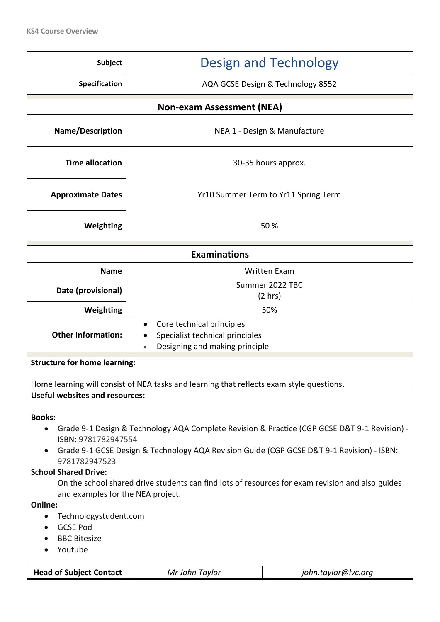| Subject                                                                                                                                                                                                                                                                                                                                                                                                                                                                                                                                       | Design and Technology                                                                                       |                                      |  |  |  |  |
|-----------------------------------------------------------------------------------------------------------------------------------------------------------------------------------------------------------------------------------------------------------------------------------------------------------------------------------------------------------------------------------------------------------------------------------------------------------------------------------------------------------------------------------------------|-------------------------------------------------------------------------------------------------------------|--------------------------------------|--|--|--|--|
| Specification                                                                                                                                                                                                                                                                                                                                                                                                                                                                                                                                 | AQA GCSE Design & Technology 8552                                                                           |                                      |  |  |  |  |
| <b>Non-exam Assessment (NEA)</b>                                                                                                                                                                                                                                                                                                                                                                                                                                                                                                              |                                                                                                             |                                      |  |  |  |  |
| Name/Description                                                                                                                                                                                                                                                                                                                                                                                                                                                                                                                              |                                                                                                             | NEA 1 - Design & Manufacture         |  |  |  |  |
| <b>Time allocation</b>                                                                                                                                                                                                                                                                                                                                                                                                                                                                                                                        |                                                                                                             | 30-35 hours approx.                  |  |  |  |  |
| <b>Approximate Dates</b>                                                                                                                                                                                                                                                                                                                                                                                                                                                                                                                      |                                                                                                             | Yr10 Summer Term to Yr11 Spring Term |  |  |  |  |
| Weighting                                                                                                                                                                                                                                                                                                                                                                                                                                                                                                                                     |                                                                                                             | 50%                                  |  |  |  |  |
|                                                                                                                                                                                                                                                                                                                                                                                                                                                                                                                                               | <b>Examinations</b>                                                                                         |                                      |  |  |  |  |
| <b>Name</b>                                                                                                                                                                                                                                                                                                                                                                                                                                                                                                                                   |                                                                                                             | <b>Written Exam</b>                  |  |  |  |  |
| Date (provisional)                                                                                                                                                                                                                                                                                                                                                                                                                                                                                                                            | Summer 2022 TBC<br>(2 hr)                                                                                   |                                      |  |  |  |  |
| Weighting                                                                                                                                                                                                                                                                                                                                                                                                                                                                                                                                     | 50%                                                                                                         |                                      |  |  |  |  |
| <b>Other Information:</b>                                                                                                                                                                                                                                                                                                                                                                                                                                                                                                                     | Core technical principles<br>$\bullet$<br>Specialist technical principles<br>Designing and making principle |                                      |  |  |  |  |
|                                                                                                                                                                                                                                                                                                                                                                                                                                                                                                                                               | <b>Structure for home learning:</b>                                                                         |                                      |  |  |  |  |
|                                                                                                                                                                                                                                                                                                                                                                                                                                                                                                                                               | Home learning will consist of NEA tasks and learning that reflects exam style questions.                    |                                      |  |  |  |  |
| <b>Useful websites and resources:</b>                                                                                                                                                                                                                                                                                                                                                                                                                                                                                                         |                                                                                                             |                                      |  |  |  |  |
| <b>Books:</b><br>Grade 9-1 Design & Technology AQA Complete Revision & Practice (CGP GCSE D&T 9-1 Revision) -<br>$\bullet$<br>ISBN: 9781782947554<br>Grade 9-1 GCSE Design & Technology AQA Revision Guide (CGP GCSE D&T 9-1 Revision) - ISBN:<br>9781782947523<br><b>School Shared Drive:</b><br>On the school shared drive students can find lots of resources for exam revision and also guides<br>and examples for the NEA project.<br>Online:<br>Technologystudent.com<br>$\bullet$<br><b>GCSE Pod</b><br><b>BBC Bitesize</b><br>Youtube |                                                                                                             |                                      |  |  |  |  |
| <b>Head of Subject Contact</b>                                                                                                                                                                                                                                                                                                                                                                                                                                                                                                                | Mr John Taylor                                                                                              | john.taylor@lvc.org                  |  |  |  |  |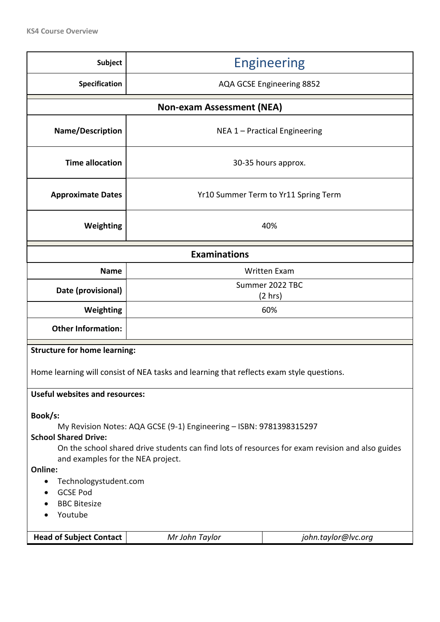| <b>Subject</b>                                                                                                                                                                                                                                                                                                             | <b>Engineering</b>                                                                       |                     |  |  |  |  |
|----------------------------------------------------------------------------------------------------------------------------------------------------------------------------------------------------------------------------------------------------------------------------------------------------------------------------|------------------------------------------------------------------------------------------|---------------------|--|--|--|--|
| Specification                                                                                                                                                                                                                                                                                                              | AQA GCSE Engineering 8852                                                                |                     |  |  |  |  |
| <b>Non-exam Assessment (NEA)</b>                                                                                                                                                                                                                                                                                           |                                                                                          |                     |  |  |  |  |
| Name/Description                                                                                                                                                                                                                                                                                                           | NEA 1 - Practical Engineering                                                            |                     |  |  |  |  |
| <b>Time allocation</b>                                                                                                                                                                                                                                                                                                     |                                                                                          | 30-35 hours approx. |  |  |  |  |
| <b>Approximate Dates</b>                                                                                                                                                                                                                                                                                                   | Yr10 Summer Term to Yr11 Spring Term                                                     |                     |  |  |  |  |
| Weighting                                                                                                                                                                                                                                                                                                                  | 40%                                                                                      |                     |  |  |  |  |
| <b>Examinations</b>                                                                                                                                                                                                                                                                                                        |                                                                                          |                     |  |  |  |  |
| <b>Name</b>                                                                                                                                                                                                                                                                                                                | <b>Written Exam</b>                                                                      |                     |  |  |  |  |
| Date (provisional)                                                                                                                                                                                                                                                                                                         | Summer 2022 TBC                                                                          |                     |  |  |  |  |
|                                                                                                                                                                                                                                                                                                                            |                                                                                          | $(2 \text{ hrs})$   |  |  |  |  |
| Weighting                                                                                                                                                                                                                                                                                                                  | 60%                                                                                      |                     |  |  |  |  |
| <b>Other Information:</b>                                                                                                                                                                                                                                                                                                  |                                                                                          |                     |  |  |  |  |
| <b>Structure for home learning:</b>                                                                                                                                                                                                                                                                                        |                                                                                          |                     |  |  |  |  |
|                                                                                                                                                                                                                                                                                                                            | Home learning will consist of NEA tasks and learning that reflects exam style questions. |                     |  |  |  |  |
| <b>Useful websites and resources:</b>                                                                                                                                                                                                                                                                                      |                                                                                          |                     |  |  |  |  |
| Book/s:<br>My Revision Notes: AQA GCSE (9-1) Engineering - ISBN: 9781398315297<br><b>School Shared Drive:</b><br>On the school shared drive students can find lots of resources for exam revision and also guides<br>and examples for the NEA project.<br>Online:<br>Technologystudent.com<br>$\bullet$<br><b>GCSE Pod</b> |                                                                                          |                     |  |  |  |  |
| <b>BBC Bitesize</b><br>Youtube                                                                                                                                                                                                                                                                                             |                                                                                          |                     |  |  |  |  |
| <b>Head of Subject Contact</b>                                                                                                                                                                                                                                                                                             | Mr John Taylor                                                                           | john.taylor@lvc.org |  |  |  |  |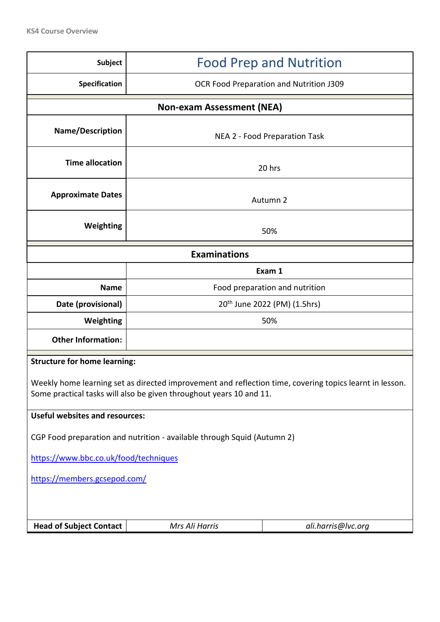| Subject                                                                                                                                                                        | <b>Food Prep and Nutrition</b>           |                    |  |  |  |  |
|--------------------------------------------------------------------------------------------------------------------------------------------------------------------------------|------------------------------------------|--------------------|--|--|--|--|
| <b>Specification</b>                                                                                                                                                           | OCR Food Preparation and Nutrition J309  |                    |  |  |  |  |
| <b>Non-exam Assessment (NEA)</b>                                                                                                                                               |                                          |                    |  |  |  |  |
| Name/Description                                                                                                                                                               | NEA 2 - Food Preparation Task            |                    |  |  |  |  |
| <b>Time allocation</b>                                                                                                                                                         |                                          | 20 hrs             |  |  |  |  |
| <b>Approximate Dates</b>                                                                                                                                                       |                                          | Autumn 2           |  |  |  |  |
| Weighting                                                                                                                                                                      |                                          | 50%                |  |  |  |  |
|                                                                                                                                                                                | <b>Examinations</b>                      |                    |  |  |  |  |
|                                                                                                                                                                                | Exam 1                                   |                    |  |  |  |  |
| <b>Name</b>                                                                                                                                                                    | Food preparation and nutrition           |                    |  |  |  |  |
| Date (provisional)                                                                                                                                                             | 20 <sup>th</sup> June 2022 (PM) (1.5hrs) |                    |  |  |  |  |
| Weighting                                                                                                                                                                      | 50%                                      |                    |  |  |  |  |
| <b>Other Information:</b>                                                                                                                                                      |                                          |                    |  |  |  |  |
| <b>Structure for home learning:</b>                                                                                                                                            |                                          |                    |  |  |  |  |
| Weekly home learning set as directed improvement and reflection time, covering topics learnt in lesson.<br>Some practical tasks will also be given throughout years 10 and 11. |                                          |                    |  |  |  |  |
| <b>Useful websites and resources:</b>                                                                                                                                          |                                          |                    |  |  |  |  |
| CGP Food preparation and nutrition - available through Squid (Autumn 2)                                                                                                        |                                          |                    |  |  |  |  |
| https://www.bbc.co.uk/food/techniques                                                                                                                                          |                                          |                    |  |  |  |  |
| https://members.gcsepod.com/                                                                                                                                                   |                                          |                    |  |  |  |  |
|                                                                                                                                                                                |                                          |                    |  |  |  |  |
| <b>Head of Subject Contact</b>                                                                                                                                                 | Mrs Ali Harris                           | ali.harris@lvc.org |  |  |  |  |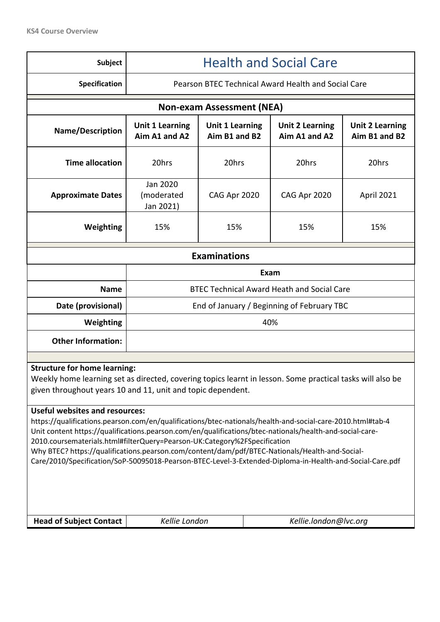| <b>Subject</b>                                                                                                                                                                                                                                                                                                                                                                                                                                                                                                                                                                                                                                                                                                                                                                | <b>Health and Social Care</b>                                                                                                                                            |                                                   |              |            |  |  |
|-------------------------------------------------------------------------------------------------------------------------------------------------------------------------------------------------------------------------------------------------------------------------------------------------------------------------------------------------------------------------------------------------------------------------------------------------------------------------------------------------------------------------------------------------------------------------------------------------------------------------------------------------------------------------------------------------------------------------------------------------------------------------------|--------------------------------------------------------------------------------------------------------------------------------------------------------------------------|---------------------------------------------------|--------------|------------|--|--|
| Specification                                                                                                                                                                                                                                                                                                                                                                                                                                                                                                                                                                                                                                                                                                                                                                 | Pearson BTEC Technical Award Health and Social Care                                                                                                                      |                                                   |              |            |  |  |
|                                                                                                                                                                                                                                                                                                                                                                                                                                                                                                                                                                                                                                                                                                                                                                               | <b>Non-exam Assessment (NEA)</b>                                                                                                                                         |                                                   |              |            |  |  |
| Name/Description                                                                                                                                                                                                                                                                                                                                                                                                                                                                                                                                                                                                                                                                                                                                                              | <b>Unit 1 Learning</b><br><b>Unit 1 Learning</b><br><b>Unit 2 Learning</b><br><b>Unit 2 Learning</b><br>Aim A1 and A2<br>Aim B1 and B2<br>Aim A1 and A2<br>Aim B1 and B2 |                                                   |              |            |  |  |
| <b>Time allocation</b>                                                                                                                                                                                                                                                                                                                                                                                                                                                                                                                                                                                                                                                                                                                                                        | 20hrs                                                                                                                                                                    | 20hrs                                             | 20hrs        | 20hrs      |  |  |
| <b>Approximate Dates</b>                                                                                                                                                                                                                                                                                                                                                                                                                                                                                                                                                                                                                                                                                                                                                      | Jan 2020<br>(moderated<br>Jan 2021)                                                                                                                                      | CAG Apr 2020                                      | CAG Apr 2020 | April 2021 |  |  |
| Weighting                                                                                                                                                                                                                                                                                                                                                                                                                                                                                                                                                                                                                                                                                                                                                                     | 15%                                                                                                                                                                      | 15%                                               | 15%          | 15%        |  |  |
| <b>Examinations</b>                                                                                                                                                                                                                                                                                                                                                                                                                                                                                                                                                                                                                                                                                                                                                           |                                                                                                                                                                          |                                                   |              |            |  |  |
|                                                                                                                                                                                                                                                                                                                                                                                                                                                                                                                                                                                                                                                                                                                                                                               |                                                                                                                                                                          | Exam                                              |              |            |  |  |
| <b>Name</b>                                                                                                                                                                                                                                                                                                                                                                                                                                                                                                                                                                                                                                                                                                                                                                   |                                                                                                                                                                          | <b>BTEC Technical Award Heath and Social Care</b> |              |            |  |  |
| Date (provisional)                                                                                                                                                                                                                                                                                                                                                                                                                                                                                                                                                                                                                                                                                                                                                            | End of January / Beginning of February TBC                                                                                                                               |                                                   |              |            |  |  |
| Weighting                                                                                                                                                                                                                                                                                                                                                                                                                                                                                                                                                                                                                                                                                                                                                                     | 40%                                                                                                                                                                      |                                                   |              |            |  |  |
| <b>Other Information:</b>                                                                                                                                                                                                                                                                                                                                                                                                                                                                                                                                                                                                                                                                                                                                                     |                                                                                                                                                                          |                                                   |              |            |  |  |
| <b>Structure for home learning:</b><br>Weekly home learning set as directed, covering topics learnt in lesson. Some practical tasks will also be<br>given throughout years 10 and 11, unit and topic dependent.<br><b>Useful websites and resources:</b><br>https://qualifications.pearson.com/en/qualifications/btec-nationals/health-and-social-care-2010.html#tab-4<br>Unit content https://qualifications.pearson.com/en/qualifications/btec-nationals/health-and-social-care-<br>2010.coursematerials.html#filterQuery=Pearson-UK:Category%2FSpecification<br>Why BTEC? https://qualifications.pearson.com/content/dam/pdf/BTEC-Nationals/Health-and-Social-<br>Care/2010/Specification/SoP-50095018-Pearson-BTEC-Level-3-Extended-Diploma-in-Health-and-Social-Care.pdf |                                                                                                                                                                          |                                                   |              |            |  |  |
| <b>Head of Subject Contact</b>                                                                                                                                                                                                                                                                                                                                                                                                                                                                                                                                                                                                                                                                                                                                                | Kellie London<br>Kellie.london@lvc.org                                                                                                                                   |                                                   |              |            |  |  |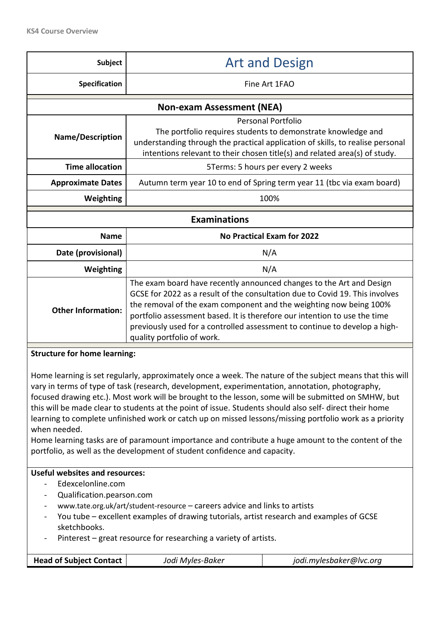| Subject                                                                                                                                                                                                                                                                                                                                                                                                                                                                                                                                                                                                                                                                                                                                     | <b>Art and Design</b>                                                                                                                                                                                                                                                                                                                                                                                               |                                                                        |  |  |  |
|---------------------------------------------------------------------------------------------------------------------------------------------------------------------------------------------------------------------------------------------------------------------------------------------------------------------------------------------------------------------------------------------------------------------------------------------------------------------------------------------------------------------------------------------------------------------------------------------------------------------------------------------------------------------------------------------------------------------------------------------|---------------------------------------------------------------------------------------------------------------------------------------------------------------------------------------------------------------------------------------------------------------------------------------------------------------------------------------------------------------------------------------------------------------------|------------------------------------------------------------------------|--|--|--|
| Specification                                                                                                                                                                                                                                                                                                                                                                                                                                                                                                                                                                                                                                                                                                                               | Fine Art 1FAO                                                                                                                                                                                                                                                                                                                                                                                                       |                                                                        |  |  |  |
| <b>Non-exam Assessment (NEA)</b>                                                                                                                                                                                                                                                                                                                                                                                                                                                                                                                                                                                                                                                                                                            |                                                                                                                                                                                                                                                                                                                                                                                                                     |                                                                        |  |  |  |
| <b>Name/Description</b>                                                                                                                                                                                                                                                                                                                                                                                                                                                                                                                                                                                                                                                                                                                     | <b>Personal Portfolio</b><br>The portfolio requires students to demonstrate knowledge and<br>understanding through the practical application of skills, to realise personal<br>intentions relevant to their chosen title(s) and related area(s) of study.                                                                                                                                                           |                                                                        |  |  |  |
| <b>Time allocation</b>                                                                                                                                                                                                                                                                                                                                                                                                                                                                                                                                                                                                                                                                                                                      |                                                                                                                                                                                                                                                                                                                                                                                                                     | 5Terms: 5 hours per every 2 weeks                                      |  |  |  |
| <b>Approximate Dates</b>                                                                                                                                                                                                                                                                                                                                                                                                                                                                                                                                                                                                                                                                                                                    |                                                                                                                                                                                                                                                                                                                                                                                                                     | Autumn term year 10 to end of Spring term year 11 (tbc via exam board) |  |  |  |
| Weighting                                                                                                                                                                                                                                                                                                                                                                                                                                                                                                                                                                                                                                                                                                                                   |                                                                                                                                                                                                                                                                                                                                                                                                                     | 100%                                                                   |  |  |  |
|                                                                                                                                                                                                                                                                                                                                                                                                                                                                                                                                                                                                                                                                                                                                             | <b>Examinations</b>                                                                                                                                                                                                                                                                                                                                                                                                 |                                                                        |  |  |  |
| <b>Name</b>                                                                                                                                                                                                                                                                                                                                                                                                                                                                                                                                                                                                                                                                                                                                 |                                                                                                                                                                                                                                                                                                                                                                                                                     | <b>No Practical Exam for 2022</b>                                      |  |  |  |
| Date (provisional)                                                                                                                                                                                                                                                                                                                                                                                                                                                                                                                                                                                                                                                                                                                          |                                                                                                                                                                                                                                                                                                                                                                                                                     | N/A                                                                    |  |  |  |
| Weighting                                                                                                                                                                                                                                                                                                                                                                                                                                                                                                                                                                                                                                                                                                                                   |                                                                                                                                                                                                                                                                                                                                                                                                                     | N/A                                                                    |  |  |  |
| <b>Other Information:</b>                                                                                                                                                                                                                                                                                                                                                                                                                                                                                                                                                                                                                                                                                                                   | The exam board have recently announced changes to the Art and Design<br>GCSE for 2022 as a result of the consultation due to Covid 19. This involves<br>the removal of the exam component and the weighting now being 100%<br>portfolio assessment based. It is therefore our intention to use the time<br>previously used for a controlled assessment to continue to develop a high-<br>quality portfolio of work. |                                                                        |  |  |  |
| <b>Structure for home learning:</b>                                                                                                                                                                                                                                                                                                                                                                                                                                                                                                                                                                                                                                                                                                         |                                                                                                                                                                                                                                                                                                                                                                                                                     |                                                                        |  |  |  |
| Home learning is set regularly, approximately once a week. The nature of the subject means that this will<br>vary in terms of type of task (research, development, experimentation, annotation, photography,<br>focused drawing etc.). Most work will be brought to the lesson, some will be submitted on SMHW, but<br>this will be made clear to students at the point of issue. Students should also self-direct their home<br>learning to complete unfinished work or catch up on missed lessons/missing portfolio work as a priority<br>when needed.<br>Home learning tasks are of paramount importance and contribute a huge amount to the content of the<br>portfolio, as well as the development of student confidence and capacity. |                                                                                                                                                                                                                                                                                                                                                                                                                     |                                                                        |  |  |  |
| <b>Useful websites and resources:</b>                                                                                                                                                                                                                                                                                                                                                                                                                                                                                                                                                                                                                                                                                                       |                                                                                                                                                                                                                                                                                                                                                                                                                     |                                                                        |  |  |  |
| Edexcelonline.com<br>Qualification.pearson.com<br>$\blacksquare$<br>www.tate.org.uk/art/student-resource – careers advice and links to artists<br>$\blacksquare$<br>You tube – excellent examples of drawing tutorials, artist research and examples of GCSE<br>$\qquad \qquad \blacksquare$<br>sketchbooks.<br>Pinterest – great resource for researching a variety of artists.<br><b>Head of Subject Contact</b><br>Jodi Myles-Baker<br>jodi.mylesbaker@lvc.org                                                                                                                                                                                                                                                                           |                                                                                                                                                                                                                                                                                                                                                                                                                     |                                                                        |  |  |  |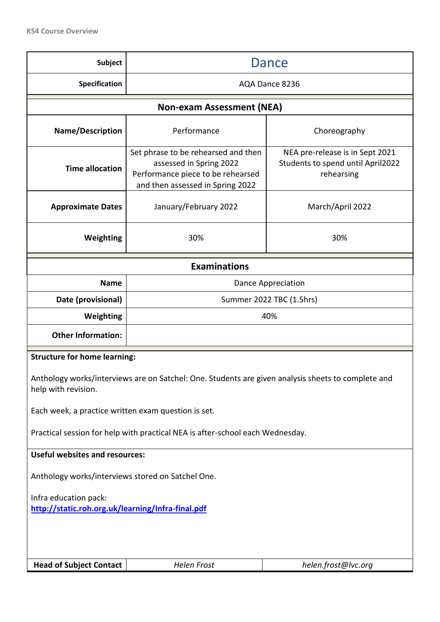| <b>Subject</b>                                                                                                                                                                                                                                                                                           | Dance                                                                                                                                   |                                                                                    |  |  |  |
|----------------------------------------------------------------------------------------------------------------------------------------------------------------------------------------------------------------------------------------------------------------------------------------------------------|-----------------------------------------------------------------------------------------------------------------------------------------|------------------------------------------------------------------------------------|--|--|--|
| <b>Specification</b>                                                                                                                                                                                                                                                                                     | AQA Dance 8236                                                                                                                          |                                                                                    |  |  |  |
| <b>Non-exam Assessment (NEA)</b>                                                                                                                                                                                                                                                                         |                                                                                                                                         |                                                                                    |  |  |  |
| Name/Description                                                                                                                                                                                                                                                                                         | Performance                                                                                                                             | Choreography                                                                       |  |  |  |
| <b>Time allocation</b>                                                                                                                                                                                                                                                                                   | Set phrase to be rehearsed and then<br>assessed in Spring 2022<br>Performance piece to be rehearsed<br>and then assessed in Spring 2022 | NEA pre-release is in Sept 2021<br>Students to spend until April2022<br>rehearsing |  |  |  |
| <b>Approximate Dates</b>                                                                                                                                                                                                                                                                                 | January/February 2022                                                                                                                   | March/April 2022                                                                   |  |  |  |
| Weighting                                                                                                                                                                                                                                                                                                | 30%                                                                                                                                     | 30%                                                                                |  |  |  |
| <b>Examinations</b>                                                                                                                                                                                                                                                                                      |                                                                                                                                         |                                                                                    |  |  |  |
| <b>Name</b>                                                                                                                                                                                                                                                                                              | Dance Appreciation                                                                                                                      |                                                                                    |  |  |  |
| Date (provisional)                                                                                                                                                                                                                                                                                       | Summer 2022 TBC (1.5hrs)                                                                                                                |                                                                                    |  |  |  |
| Weighting                                                                                                                                                                                                                                                                                                | 40%                                                                                                                                     |                                                                                    |  |  |  |
| <b>Other Information:</b>                                                                                                                                                                                                                                                                                |                                                                                                                                         |                                                                                    |  |  |  |
| <b>Structure for home learning:</b><br>Anthology works/interviews are on Satchel: One. Students are given analysis sheets to complete and<br>help with revision.<br>Each week, a practice written exam question is set.<br>Practical session for help with practical NEA is after-school each Wednesday. |                                                                                                                                         |                                                                                    |  |  |  |
| <b>Useful websites and resources:</b>                                                                                                                                                                                                                                                                    |                                                                                                                                         |                                                                                    |  |  |  |
| Anthology works/interviews stored on Satchel One.                                                                                                                                                                                                                                                        |                                                                                                                                         |                                                                                    |  |  |  |
| Infra education pack:<br>http://static.roh.org.uk/learning/Infra-final.pdf                                                                                                                                                                                                                               |                                                                                                                                         |                                                                                    |  |  |  |
| <b>Head of Subject Contact</b>                                                                                                                                                                                                                                                                           | Helen Frost                                                                                                                             | helen.frost@lvc.org                                                                |  |  |  |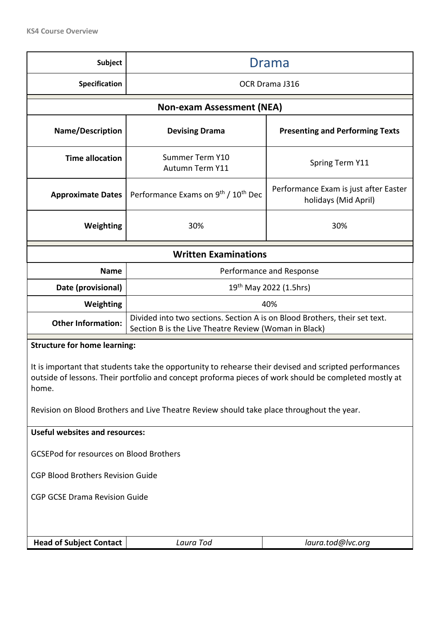| <b>Subject</b>                                                                                                                                                                                                                                                                                                        | Drama                                                                                                                               |                                                               |  |  |  |  |
|-----------------------------------------------------------------------------------------------------------------------------------------------------------------------------------------------------------------------------------------------------------------------------------------------------------------------|-------------------------------------------------------------------------------------------------------------------------------------|---------------------------------------------------------------|--|--|--|--|
| Specification                                                                                                                                                                                                                                                                                                         | OCR Drama J316                                                                                                                      |                                                               |  |  |  |  |
| <b>Non-exam Assessment (NEA)</b>                                                                                                                                                                                                                                                                                      |                                                                                                                                     |                                                               |  |  |  |  |
| <b>Name/Description</b>                                                                                                                                                                                                                                                                                               | <b>Devising Drama</b>                                                                                                               | <b>Presenting and Performing Texts</b>                        |  |  |  |  |
| <b>Time allocation</b>                                                                                                                                                                                                                                                                                                | Summer Term Y10<br>Autumn Term Y11                                                                                                  | Spring Term Y11                                               |  |  |  |  |
| <b>Approximate Dates</b>                                                                                                                                                                                                                                                                                              | Performance Exams on 9 <sup>th</sup> / 10 <sup>th</sup> Dec                                                                         | Performance Exam is just after Easter<br>holidays (Mid April) |  |  |  |  |
| Weighting                                                                                                                                                                                                                                                                                                             | 30%                                                                                                                                 | 30%                                                           |  |  |  |  |
|                                                                                                                                                                                                                                                                                                                       | <b>Written Examinations</b>                                                                                                         |                                                               |  |  |  |  |
| <b>Name</b>                                                                                                                                                                                                                                                                                                           |                                                                                                                                     | Performance and Response                                      |  |  |  |  |
| Date (provisional)                                                                                                                                                                                                                                                                                                    | $19th$ May 2022 (1.5hrs)                                                                                                            |                                                               |  |  |  |  |
| Weighting                                                                                                                                                                                                                                                                                                             | 40%                                                                                                                                 |                                                               |  |  |  |  |
| <b>Other Information:</b>                                                                                                                                                                                                                                                                                             | Divided into two sections. Section A is on Blood Brothers, their set text.<br>Section B is the Live Theatre Review (Woman in Black) |                                                               |  |  |  |  |
| <b>Structure for home learning:</b>                                                                                                                                                                                                                                                                                   |                                                                                                                                     |                                                               |  |  |  |  |
| It is important that students take the opportunity to rehearse their devised and scripted performances<br>outside of lessons. Their portfolio and concept proforma pieces of work should be completed mostly at<br>home.<br>Revision on Blood Brothers and Live Theatre Review should take place throughout the year. |                                                                                                                                     |                                                               |  |  |  |  |
| <b>Useful websites and resources:</b>                                                                                                                                                                                                                                                                                 |                                                                                                                                     |                                                               |  |  |  |  |
| <b>GCSEPod for resources on Blood Brothers</b>                                                                                                                                                                                                                                                                        |                                                                                                                                     |                                                               |  |  |  |  |
| <b>CGP Blood Brothers Revision Guide</b>                                                                                                                                                                                                                                                                              |                                                                                                                                     |                                                               |  |  |  |  |
| <b>CGP GCSE Drama Revision Guide</b>                                                                                                                                                                                                                                                                                  |                                                                                                                                     |                                                               |  |  |  |  |
|                                                                                                                                                                                                                                                                                                                       |                                                                                                                                     |                                                               |  |  |  |  |
| <b>Head of Subject Contact</b>                                                                                                                                                                                                                                                                                        | Laura Tod<br>laura.tod@lvc.org                                                                                                      |                                                               |  |  |  |  |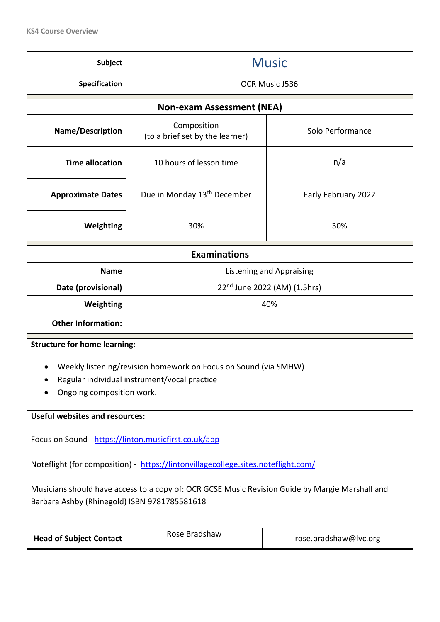| <b>Subject</b>                                                                                  | <b>Music</b>                                                       |                                 |  |  |  |
|-------------------------------------------------------------------------------------------------|--------------------------------------------------------------------|---------------------------------|--|--|--|
| <b>Specification</b>                                                                            | OCR Music J536                                                     |                                 |  |  |  |
|                                                                                                 | <b>Non-exam Assessment (NEA)</b>                                   |                                 |  |  |  |
| Name/Description                                                                                | Composition<br>Solo Performance<br>(to a brief set by the learner) |                                 |  |  |  |
| <b>Time allocation</b>                                                                          | 10 hours of lesson time                                            | n/a                             |  |  |  |
| <b>Approximate Dates</b>                                                                        | Due in Monday 13 <sup>th</sup> December                            | Early February 2022             |  |  |  |
| Weighting                                                                                       | 30%                                                                | 30%                             |  |  |  |
| <b>Examinations</b>                                                                             |                                                                    |                                 |  |  |  |
| <b>Name</b>                                                                                     |                                                                    | <b>Listening and Appraising</b> |  |  |  |
| Date (provisional)                                                                              | 22 <sup>nd</sup> June 2022 (AM) (1.5hrs)                           |                                 |  |  |  |
| Weighting                                                                                       | 40%                                                                |                                 |  |  |  |
| <b>Other Information:</b>                                                                       |                                                                    |                                 |  |  |  |
| <b>Structure for home learning:</b>                                                             |                                                                    |                                 |  |  |  |
|                                                                                                 | Weekly listening/revision homework on Focus on Sound (via SMHW)    |                                 |  |  |  |
|                                                                                                 | Regular individual instrument/vocal practice                       |                                 |  |  |  |
| Ongoing composition work.                                                                       |                                                                    |                                 |  |  |  |
| <b>Useful websites and resources:</b>                                                           |                                                                    |                                 |  |  |  |
| Focus on Sound - https://linton.musicfirst.co.uk/app                                            |                                                                    |                                 |  |  |  |
| Noteflight (for composition) - https://lintonvillagecollege.sites.noteflight.com/               |                                                                    |                                 |  |  |  |
| Musicians should have access to a copy of: OCR GCSE Music Revision Guide by Margie Marshall and |                                                                    |                                 |  |  |  |
| Barbara Ashby (Rhinegold) ISBN 9781785581618                                                    |                                                                    |                                 |  |  |  |
| <b>Head of Subject Contact</b>                                                                  | Rose Bradshaw                                                      | rose.bradshaw@lvc.org           |  |  |  |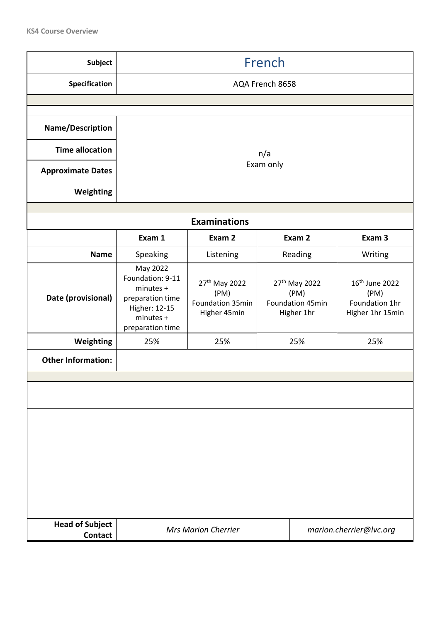| <b>Subject</b>                           | French                                                                                                          |                                                                       |           |                                                                     |                                                                          |  |
|------------------------------------------|-----------------------------------------------------------------------------------------------------------------|-----------------------------------------------------------------------|-----------|---------------------------------------------------------------------|--------------------------------------------------------------------------|--|
| Specification                            | AQA French 8658                                                                                                 |                                                                       |           |                                                                     |                                                                          |  |
|                                          |                                                                                                                 |                                                                       |           |                                                                     |                                                                          |  |
| Name/Description                         |                                                                                                                 |                                                                       |           |                                                                     |                                                                          |  |
| <b>Time allocation</b>                   |                                                                                                                 |                                                                       | n/a       |                                                                     |                                                                          |  |
| <b>Approximate Dates</b>                 |                                                                                                                 |                                                                       | Exam only |                                                                     |                                                                          |  |
| Weighting                                |                                                                                                                 |                                                                       |           |                                                                     |                                                                          |  |
|                                          |                                                                                                                 | <b>Examinations</b>                                                   |           |                                                                     |                                                                          |  |
|                                          | Exam 1                                                                                                          | Exam 2                                                                |           | Exam 2                                                              | Exam 3                                                                   |  |
| <b>Name</b>                              | Speaking                                                                                                        | Listening                                                             |           | Reading                                                             | Writing                                                                  |  |
| Date (provisional)                       | May 2022<br>Foundation: 9-11<br>minutes +<br>preparation time<br>Higher: 12-15<br>minutes +<br>preparation time | 27 <sup>th</sup> May 2022<br>(PM)<br>Foundation 35min<br>Higher 45min |           | 27 <sup>th</sup> May 2022<br>(PM)<br>Foundation 45min<br>Higher 1hr | 16 <sup>th</sup> June 2022<br>(PM)<br>Foundation 1hr<br>Higher 1hr 15min |  |
| Weighting                                | 25%                                                                                                             | 25%                                                                   |           | 25%                                                                 | 25%                                                                      |  |
| <b>Other Information:</b>                |                                                                                                                 |                                                                       |           |                                                                     |                                                                          |  |
|                                          |                                                                                                                 |                                                                       |           |                                                                     |                                                                          |  |
| <b>Head of Subject</b><br><b>Contact</b> | <b>Mrs Marion Cherrier</b><br>marion.cherrier@lvc.org                                                           |                                                                       |           |                                                                     |                                                                          |  |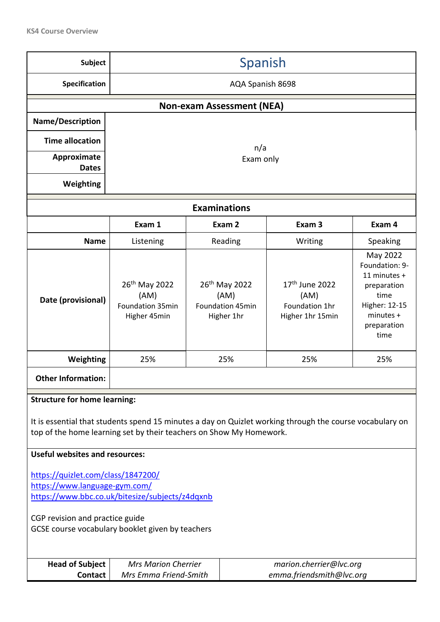| <b>Subject</b>                                                                                                                                                                                                                                                  | Spanish                                                               |                                                                                                            |                                                                            |                                                                          |                                                                                                                        |
|-----------------------------------------------------------------------------------------------------------------------------------------------------------------------------------------------------------------------------------------------------------------|-----------------------------------------------------------------------|------------------------------------------------------------------------------------------------------------|----------------------------------------------------------------------------|--------------------------------------------------------------------------|------------------------------------------------------------------------------------------------------------------------|
| Specification                                                                                                                                                                                                                                                   | AQA Spanish 8698                                                      |                                                                                                            |                                                                            |                                                                          |                                                                                                                        |
|                                                                                                                                                                                                                                                                 |                                                                       |                                                                                                            | <b>Non-exam Assessment (NEA)</b>                                           |                                                                          |                                                                                                                        |
| Name/Description                                                                                                                                                                                                                                                |                                                                       |                                                                                                            |                                                                            |                                                                          |                                                                                                                        |
| <b>Time allocation</b>                                                                                                                                                                                                                                          |                                                                       |                                                                                                            | n/a                                                                        |                                                                          |                                                                                                                        |
| Approximate<br><b>Dates</b>                                                                                                                                                                                                                                     |                                                                       |                                                                                                            | Exam only                                                                  |                                                                          |                                                                                                                        |
| Weighting                                                                                                                                                                                                                                                       |                                                                       |                                                                                                            |                                                                            |                                                                          |                                                                                                                        |
|                                                                                                                                                                                                                                                                 |                                                                       |                                                                                                            | <b>Examinations</b>                                                        |                                                                          |                                                                                                                        |
|                                                                                                                                                                                                                                                                 | Exam 1                                                                |                                                                                                            | Exam 2                                                                     | Exam <sub>3</sub>                                                        | Exam 4                                                                                                                 |
| <b>Name</b>                                                                                                                                                                                                                                                     | Listening                                                             |                                                                                                            | Reading                                                                    | Writing                                                                  | Speaking                                                                                                               |
| Date (provisional)                                                                                                                                                                                                                                              | 26 <sup>th</sup> May 2022<br>(AM)<br>Foundation 35min<br>Higher 45min |                                                                                                            | 26 <sup>th</sup> May 2022<br>(AM)<br><b>Foundation 45min</b><br>Higher 1hr | 17 <sup>th</sup> June 2022<br>(AM)<br>Foundation 1hr<br>Higher 1hr 15min | May 2022<br>Foundation: 9-<br>11 minutes +<br>preparation<br>time<br>Higher: 12-15<br>minutes +<br>preparation<br>time |
| Weighting                                                                                                                                                                                                                                                       | 25%                                                                   |                                                                                                            | 25%                                                                        | 25%                                                                      | 25%                                                                                                                    |
| <b>Other Information:</b>                                                                                                                                                                                                                                       |                                                                       |                                                                                                            |                                                                            |                                                                          |                                                                                                                        |
| <b>Structure for home learning:</b><br>It is essential that students spend 15 minutes a day on Quizlet working through the course vocabulary on<br>top of the home learning set by their teachers on Show My Homework.<br><b>Useful websites and resources:</b> |                                                                       |                                                                                                            |                                                                            |                                                                          |                                                                                                                        |
| https://quizlet.com/class/1847200/<br>https://www.language-gym.com/<br>https://www.bbc.co.uk/bitesize/subjects/z4dqxnb<br>CGP revision and practice guide<br>GCSE course vocabulary booklet given by teachers                                                   |                                                                       |                                                                                                            |                                                                            |                                                                          |                                                                                                                        |
| <b>Head of Subject</b><br><b>Contact</b>                                                                                                                                                                                                                        |                                                                       | <b>Mrs Marion Cherrier</b><br>marion.cherrier@lvc.org<br>emma.friendsmith@lvc.org<br>Mrs Emma Friend-Smith |                                                                            |                                                                          |                                                                                                                        |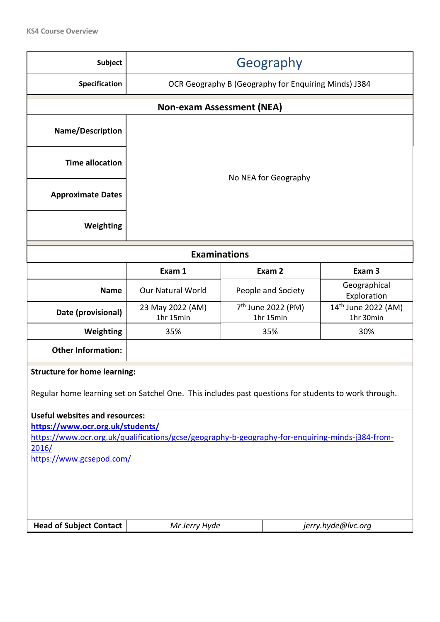| <b>Subject</b>                                                                                                                                                                                                                                                                             | Geography                                            |                                                                                                      |                             |  |  |  |
|--------------------------------------------------------------------------------------------------------------------------------------------------------------------------------------------------------------------------------------------------------------------------------------------|------------------------------------------------------|------------------------------------------------------------------------------------------------------|-----------------------------|--|--|--|
| Specification                                                                                                                                                                                                                                                                              | OCR Geography B (Geography for Enquiring Minds) J384 |                                                                                                      |                             |  |  |  |
|                                                                                                                                                                                                                                                                                            | <b>Non-exam Assessment (NEA)</b>                     |                                                                                                      |                             |  |  |  |
| <b>Name/Description</b>                                                                                                                                                                                                                                                                    |                                                      |                                                                                                      |                             |  |  |  |
| <b>Time allocation</b>                                                                                                                                                                                                                                                                     |                                                      | No NEA for Geography                                                                                 |                             |  |  |  |
| <b>Approximate Dates</b>                                                                                                                                                                                                                                                                   |                                                      |                                                                                                      |                             |  |  |  |
| Weighting                                                                                                                                                                                                                                                                                  |                                                      |                                                                                                      |                             |  |  |  |
| <b>Examinations</b>                                                                                                                                                                                                                                                                        |                                                      |                                                                                                      |                             |  |  |  |
|                                                                                                                                                                                                                                                                                            | Exam 2<br>Exam <sub>3</sub><br>Exam 1                |                                                                                                      |                             |  |  |  |
| <b>Name</b>                                                                                                                                                                                                                                                                                | <b>Our Natural World</b>                             | People and Society                                                                                   | Geographical<br>Exploration |  |  |  |
| Date (provisional)                                                                                                                                                                                                                                                                         | 23 May 2022 (AM)<br>1hr 15min                        | 7 <sup>th</sup> June 2022 (PM)<br>14 <sup>th</sup> June 2022 (AM)<br>1hr 15min<br>1hr 30min          |                             |  |  |  |
| Weighting                                                                                                                                                                                                                                                                                  | 35%                                                  | 35%                                                                                                  | 30%                         |  |  |  |
| <b>Other Information:</b>                                                                                                                                                                                                                                                                  |                                                      |                                                                                                      |                             |  |  |  |
| <b>Structure for home learning:</b>                                                                                                                                                                                                                                                        |                                                      |                                                                                                      |                             |  |  |  |
|                                                                                                                                                                                                                                                                                            |                                                      | Regular home learning set on Satchel One. This includes past questions for students to work through. |                             |  |  |  |
| <b>Useful websites and resources:</b><br>https://www.ocr.org.uk/students/<br>https://www.ocr.org.uk/qualifications/gcse/geography-b-geography-for-enquiring-minds-j384-from-<br>2016/<br>https://www.gcsepod.com/<br><b>Head of Subject Contact</b><br>Mr Jerry Hyde<br>jerry.hyde@lvc.org |                                                      |                                                                                                      |                             |  |  |  |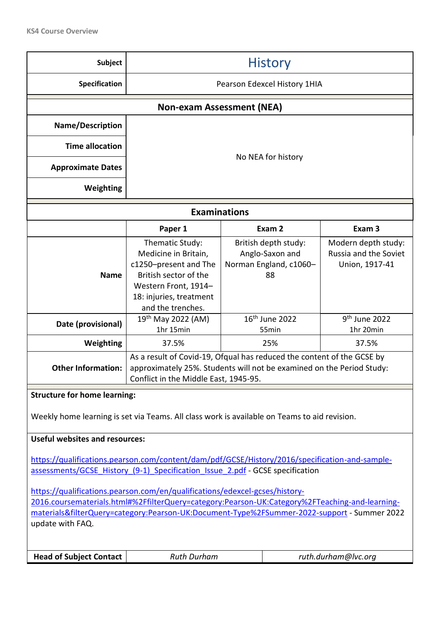| <b>Subject</b>                                                                                                                                                                                                                                                                                   | <b>History</b>                                                                                                                                                                           |  |                                                                         |                                                                |  |
|--------------------------------------------------------------------------------------------------------------------------------------------------------------------------------------------------------------------------------------------------------------------------------------------------|------------------------------------------------------------------------------------------------------------------------------------------------------------------------------------------|--|-------------------------------------------------------------------------|----------------------------------------------------------------|--|
| <b>Specification</b>                                                                                                                                                                                                                                                                             | Pearson Edexcel History 1HIA                                                                                                                                                             |  |                                                                         |                                                                |  |
|                                                                                                                                                                                                                                                                                                  | <b>Non-exam Assessment (NEA)</b>                                                                                                                                                         |  |                                                                         |                                                                |  |
| Name/Description                                                                                                                                                                                                                                                                                 |                                                                                                                                                                                          |  |                                                                         |                                                                |  |
| <b>Time allocation</b>                                                                                                                                                                                                                                                                           |                                                                                                                                                                                          |  |                                                                         |                                                                |  |
| <b>Approximate Dates</b>                                                                                                                                                                                                                                                                         |                                                                                                                                                                                          |  | No NEA for history                                                      |                                                                |  |
| Weighting                                                                                                                                                                                                                                                                                        |                                                                                                                                                                                          |  |                                                                         |                                                                |  |
|                                                                                                                                                                                                                                                                                                  | <b>Examinations</b>                                                                                                                                                                      |  |                                                                         |                                                                |  |
|                                                                                                                                                                                                                                                                                                  | Paper 1                                                                                                                                                                                  |  | Exam 2                                                                  | Exam <sub>3</sub>                                              |  |
| <b>Name</b>                                                                                                                                                                                                                                                                                      | Thematic Study:<br>Medicine in Britain,<br>c1250-present and The<br>British sector of the<br>Western Front, 1914-<br>18: injuries, treatment<br>and the trenches.                        |  | British depth study:<br>Anglo-Saxon and<br>Norman England, c1060-<br>88 | Modern depth study:<br>Russia and the Soviet<br>Union, 1917-41 |  |
| Date (provisional)                                                                                                                                                                                                                                                                               | 19 <sup>th</sup> May 2022 (AM)<br>1hr 15min                                                                                                                                              |  | 16 <sup>th</sup> June 2022<br>55min                                     | 9 <sup>th</sup> June 2022<br>1hr 20min                         |  |
| Weighting                                                                                                                                                                                                                                                                                        | 37.5%<br>25%<br>37.5%                                                                                                                                                                    |  |                                                                         |                                                                |  |
| <b>Other Information:</b>                                                                                                                                                                                                                                                                        | As a result of Covid-19, Ofqual has reduced the content of the GCSE by<br>approximately 25%. Students will not be examined on the Period Study:<br>Conflict in the Middle East, 1945-95. |  |                                                                         |                                                                |  |
| <b>Structure for home learning:</b>                                                                                                                                                                                                                                                              |                                                                                                                                                                                          |  |                                                                         |                                                                |  |
| Weekly home learning is set via Teams. All class work is available on Teams to aid revision.                                                                                                                                                                                                     |                                                                                                                                                                                          |  |                                                                         |                                                                |  |
| <b>Useful websites and resources:</b>                                                                                                                                                                                                                                                            |                                                                                                                                                                                          |  |                                                                         |                                                                |  |
| https://qualifications.pearson.com/content/dam/pdf/GCSE/History/2016/specification-and-sample-<br>assessments/GCSE History (9-1) Specification Issue 2.pdf - GCSE specification                                                                                                                  |                                                                                                                                                                                          |  |                                                                         |                                                                |  |
| https://qualifications.pearson.com/en/qualifications/edexcel-gcses/history-<br>2016.coursematerials.html#%2FfilterQuery=category:Pearson-UK:Category%2FTeaching-and-learning-<br>materials&filterQuery=category:Pearson-UK:Document-Type%2FSummer-2022-support - Summer 2022<br>update with FAQ. |                                                                                                                                                                                          |  |                                                                         |                                                                |  |
| <b>Head of Subject Contact</b>                                                                                                                                                                                                                                                                   | <b>Ruth Durham</b>                                                                                                                                                                       |  |                                                                         | ruth.durham@lvc.org                                            |  |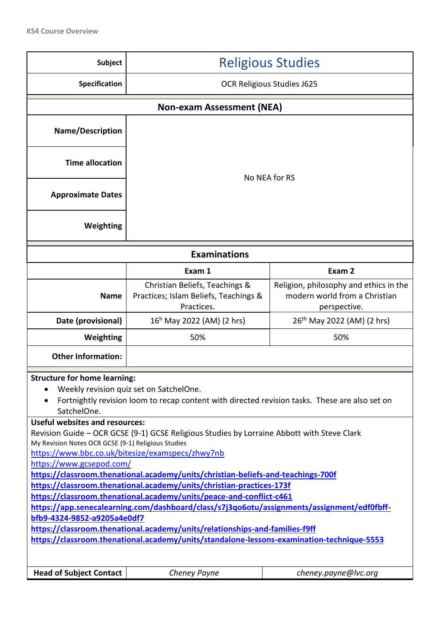| <b>Subject</b>                                                                                                                                                                                                                                                                                                                                                                                                                                                                                                                                                                                                                                                                                                                                                                                                                                                                                                                                                                                                           | <b>Religious Studies</b>                                                              |                                                                                         |  |  |  |
|--------------------------------------------------------------------------------------------------------------------------------------------------------------------------------------------------------------------------------------------------------------------------------------------------------------------------------------------------------------------------------------------------------------------------------------------------------------------------------------------------------------------------------------------------------------------------------------------------------------------------------------------------------------------------------------------------------------------------------------------------------------------------------------------------------------------------------------------------------------------------------------------------------------------------------------------------------------------------------------------------------------------------|---------------------------------------------------------------------------------------|-----------------------------------------------------------------------------------------|--|--|--|
| Specification                                                                                                                                                                                                                                                                                                                                                                                                                                                                                                                                                                                                                                                                                                                                                                                                                                                                                                                                                                                                            | <b>OCR Religious Studies J625</b>                                                     |                                                                                         |  |  |  |
| <b>Non-exam Assessment (NEA)</b>                                                                                                                                                                                                                                                                                                                                                                                                                                                                                                                                                                                                                                                                                                                                                                                                                                                                                                                                                                                         |                                                                                       |                                                                                         |  |  |  |
| Name/Description                                                                                                                                                                                                                                                                                                                                                                                                                                                                                                                                                                                                                                                                                                                                                                                                                                                                                                                                                                                                         |                                                                                       |                                                                                         |  |  |  |
| <b>Time allocation</b>                                                                                                                                                                                                                                                                                                                                                                                                                                                                                                                                                                                                                                                                                                                                                                                                                                                                                                                                                                                                   | No NEA for RS                                                                         |                                                                                         |  |  |  |
| <b>Approximate Dates</b>                                                                                                                                                                                                                                                                                                                                                                                                                                                                                                                                                                                                                                                                                                                                                                                                                                                                                                                                                                                                 |                                                                                       |                                                                                         |  |  |  |
| Weighting                                                                                                                                                                                                                                                                                                                                                                                                                                                                                                                                                                                                                                                                                                                                                                                                                                                                                                                                                                                                                |                                                                                       |                                                                                         |  |  |  |
| <b>Examinations</b>                                                                                                                                                                                                                                                                                                                                                                                                                                                                                                                                                                                                                                                                                                                                                                                                                                                                                                                                                                                                      |                                                                                       |                                                                                         |  |  |  |
|                                                                                                                                                                                                                                                                                                                                                                                                                                                                                                                                                                                                                                                                                                                                                                                                                                                                                                                                                                                                                          | Exam 1                                                                                | Exam 2                                                                                  |  |  |  |
| <b>Name</b>                                                                                                                                                                                                                                                                                                                                                                                                                                                                                                                                                                                                                                                                                                                                                                                                                                                                                                                                                                                                              | Christian Beliefs, Teachings &<br>Practices; Islam Beliefs, Teachings &<br>Practices. | Religion, philosophy and ethics in the<br>modern world from a Christian<br>perspective. |  |  |  |
| Date (provisional)                                                                                                                                                                                                                                                                                                                                                                                                                                                                                                                                                                                                                                                                                                                                                                                                                                                                                                                                                                                                       | 16 <sup>h</sup> May 2022 (AM) (2 hrs)                                                 | 26 <sup>th</sup> May 2022 (AM) (2 hrs)                                                  |  |  |  |
| Weighting                                                                                                                                                                                                                                                                                                                                                                                                                                                                                                                                                                                                                                                                                                                                                                                                                                                                                                                                                                                                                | 50%                                                                                   | 50%                                                                                     |  |  |  |
| <b>Other Information:</b>                                                                                                                                                                                                                                                                                                                                                                                                                                                                                                                                                                                                                                                                                                                                                                                                                                                                                                                                                                                                |                                                                                       |                                                                                         |  |  |  |
| <b>Structure for home learning:</b><br>Weekly revision quiz set on SatchelOne.<br>Fortnightly revision loom to recap content with directed revision tasks. These are also set on<br>SatchelOne.<br><b>Useful websites and resources:</b><br>Revision Guide - OCR GCSE (9-1) GCSE Religious Studies by Lorraine Abbott with Steve Clark<br>My Revision Notes OCR GCSE (9-1) Religious Studies<br>https://www.bbc.co.uk/bitesize/examspecs/zhwy7nb<br>https://www.gcsepod.com/<br>https://classroom.thenational.academy/units/christian-beliefs-and-teachings-700f<br>https://classroom.thenational.academy/units/christian-practices-173f<br>https://classroom.thenational.academy/units/peace-and-conflict-c461<br>https://app.senecalearning.com/dashboard/class/s7j3qo6otu/assignments/assignment/edf0fbff-<br>bfb9-4324-9852-a9205a4e0df7<br>https://classroom.thenational.academy/units/relationships-and-families-f9ff<br>https://classroom.thenational.academy/units/standalone-lessons-examination-technique-5553 |                                                                                       |                                                                                         |  |  |  |
| <b>Head of Subject Contact</b>                                                                                                                                                                                                                                                                                                                                                                                                                                                                                                                                                                                                                                                                                                                                                                                                                                                                                                                                                                                           | Cheney Payne                                                                          | cheney.payne@lvc.org                                                                    |  |  |  |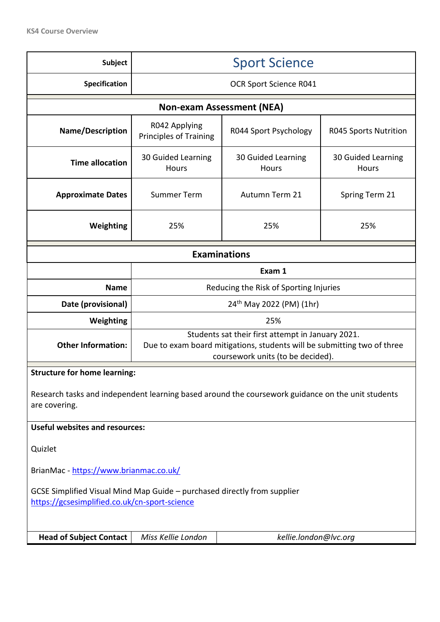| <b>Subject</b>                                                                                                            | <b>Sport Science</b>                                                                                                                                              |                             |                                    |  |  |
|---------------------------------------------------------------------------------------------------------------------------|-------------------------------------------------------------------------------------------------------------------------------------------------------------------|-----------------------------|------------------------------------|--|--|
| Specification                                                                                                             | <b>OCR Sport Science R041</b>                                                                                                                                     |                             |                                    |  |  |
| <b>Non-exam Assessment (NEA)</b>                                                                                          |                                                                                                                                                                   |                             |                                    |  |  |
| <b>Name/Description</b>                                                                                                   | R042 Applying<br><b>Principles of Training</b>                                                                                                                    | R044 Sport Psychology       | <b>R045 Sports Nutrition</b>       |  |  |
| <b>Time allocation</b>                                                                                                    | 30 Guided Learning<br>Hours                                                                                                                                       | 30 Guided Learning<br>Hours | 30 Guided Learning<br><b>Hours</b> |  |  |
| <b>Approximate Dates</b>                                                                                                  | <b>Summer Term</b>                                                                                                                                                | Autumn Term 21              | Spring Term 21                     |  |  |
| Weighting                                                                                                                 | 25%                                                                                                                                                               | 25%                         | 25%                                |  |  |
| <b>Examinations</b>                                                                                                       |                                                                                                                                                                   |                             |                                    |  |  |
|                                                                                                                           | Exam 1                                                                                                                                                            |                             |                                    |  |  |
| <b>Name</b>                                                                                                               | Reducing the Risk of Sporting Injuries                                                                                                                            |                             |                                    |  |  |
| Date (provisional)                                                                                                        | 24 <sup>th</sup> May 2022 (PM) (1hr)                                                                                                                              |                             |                                    |  |  |
| Weighting                                                                                                                 | 25%                                                                                                                                                               |                             |                                    |  |  |
| <b>Other Information:</b>                                                                                                 | Students sat their first attempt in January 2021.<br>Due to exam board mitigations, students will be submitting two of three<br>coursework units (to be decided). |                             |                                    |  |  |
| <b>Structure for home learning:</b>                                                                                       |                                                                                                                                                                   |                             |                                    |  |  |
| Research tasks and independent learning based around the coursework guidance on the unit students<br>are covering.        |                                                                                                                                                                   |                             |                                    |  |  |
| <b>Useful websites and resources:</b>                                                                                     |                                                                                                                                                                   |                             |                                    |  |  |
| Quizlet                                                                                                                   |                                                                                                                                                                   |                             |                                    |  |  |
| BrianMac - https://www.brianmac.co.uk/                                                                                    |                                                                                                                                                                   |                             |                                    |  |  |
| GCSE Simplified Visual Mind Map Guide - purchased directly from supplier<br>https://gcsesimplified.co.uk/cn-sport-science |                                                                                                                                                                   |                             |                                    |  |  |
| <b>Head of Subject Contact</b>                                                                                            | kellie.london@lvc.org<br>Miss Kellie London                                                                                                                       |                             |                                    |  |  |